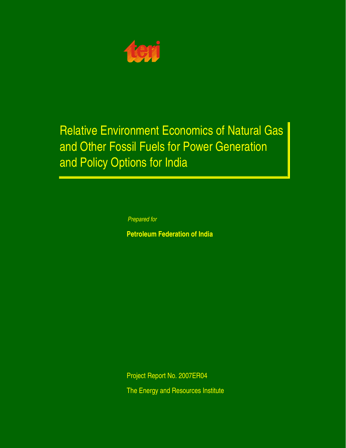

# Relative Environment Economics of Natural Gas and Other Fossil Fuels for Power Generation and Policy Options for India

*Prepared for*

**Petroleum Federation of India**

Project Report No. 2007ER04 The Energy and Resources Institute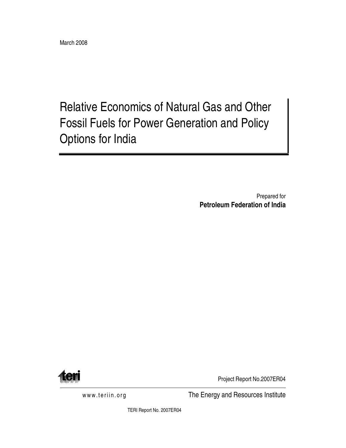Relative Economics of Natural Gas and Other Fossil Fuels for Power Generation and Policy Options for India

> Prepared for **Petroleum Federation of India**



Project Report No.2007ER04

www.teriin.org The Energy and Resources Institute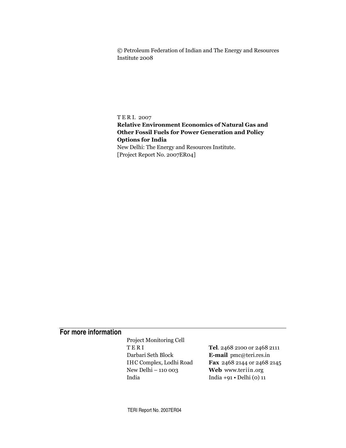© Petroleum Federation of Indian and The Energy and Resources Institute 2008

TERI. 2007

# **Relative Environment Economics of Natural Gas and Other Fossil Fuels for Power Generation and Policy Options for India**

New Delhi: The Energy and Resources Institute. [Project Report No. 2007ER04]

# For more information

Project Monitoring Cell TERI Darbari Seth Block IHC Complex, Lodhi Road New Delhi - 110 003 India

Tel. 2468 2100 or 2468 2111 E-mail pmc@teri.res.in Fax 2468 2144 or 2468 2145 Web www.teriin.org India +91  $\cdot$  Delhi (0) 11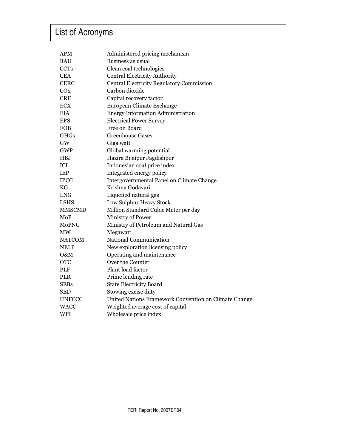# List of Acronyms

| <b>APM</b>      | Administered pricing mechanism                        |
|-----------------|-------------------------------------------------------|
| <b>BAU</b>      | Business as usual                                     |
| <b>CCTs</b>     | Clean coal technologies                               |
| <b>CEA</b>      | <b>Central Electricity Authority</b>                  |
| <b>CERC</b>     | <b>Central Electricity Regulatory Commission</b>      |
| CO <sub>2</sub> | Carbon dioxide                                        |
| <b>CRF</b>      | Capital recovery factor                               |
| <b>ECX</b>      | European Climate Exchange                             |
| <b>EIA</b>      | <b>Energy Information Administration</b>              |
| <b>EPS</b>      | <b>Electrical Power Survey</b>                        |
| <b>FOB</b>      | Free on Board                                         |
| <b>GHGs</b>     | <b>Greenhouse Gases</b>                               |
| GW              | Giga watt                                             |
| <b>GWP</b>      | Global warming potential                              |
| <b>HBJ</b>      | Hazira Bijaipur Jagdishpur                            |
| ICI             | Indonesian coal price index                           |
| <b>IEP</b>      | Integrated energy policy                              |
| <b>IPCC</b>     | Intergovernmental Panel on Climate Change             |
| <b>KG</b>       | Krishna Godavari                                      |
| <b>LNG</b>      | Liquefied natural gas                                 |
| <b>LSHS</b>     | Low Sulphur Heavy Stock                               |
| <b>MMSCMD</b>   | Million Standard Cubic Meter per day                  |
| MoP             | Ministry of Power                                     |
| MoPNG           | Ministry of Petroleum and Natural Gas                 |
| MW              | Megawatt                                              |
| <b>NATCOM</b>   | National Communication                                |
| <b>NELP</b>     | New exploration licensing policy                      |
| O&M             | Operating and maintenance                             |
| <b>OTC</b>      | Over the Counter                                      |
| <b>PLF</b>      | Plant load factor                                     |
| <b>PLR</b>      | Prime lending rate                                    |
| <b>SEBs</b>     | <b>State Electricity Board</b>                        |
| <b>SED</b>      | Stowing excise duty                                   |
| <b>UNFCCC</b>   | United Nations Framework Convention on Climate Change |
| <b>WACC</b>     | Weighted average cost of capital                      |
| <b>WPI</b>      | Wholesale price index                                 |
|                 |                                                       |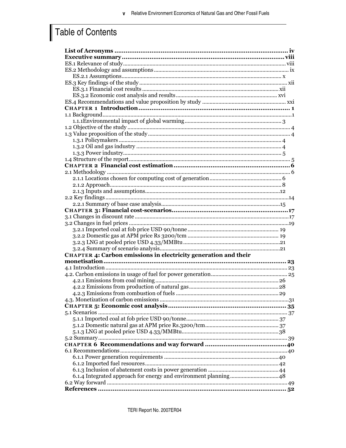# Table of Contents

| CHAPTER 4: Carbon emissions in electricity generation and their |
|-----------------------------------------------------------------|
|                                                                 |
|                                                                 |
|                                                                 |
|                                                                 |
|                                                                 |
|                                                                 |
| .31                                                             |
|                                                                 |
|                                                                 |
|                                                                 |
|                                                                 |
|                                                                 |
|                                                                 |
|                                                                 |
|                                                                 |
|                                                                 |
|                                                                 |
|                                                                 |
|                                                                 |
|                                                                 |
|                                                                 |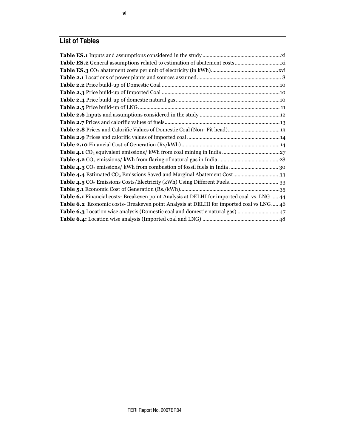# **List of Tables**

| Table 6.1 Financial costs- Breakeven point Analysis at DELHI for imported coal vs. LNG  44 |
|--------------------------------------------------------------------------------------------|
| Table 6.2 Economic costs- Breakeven point Analysis at DELHI for imported coal vs LNG 46    |
|                                                                                            |
|                                                                                            |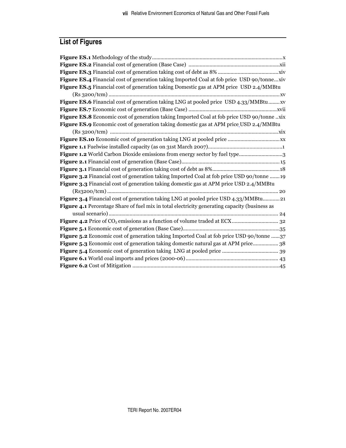# **List of Figures**

| Figure ES.4 Financial cost of generation taking Imported Coal at fob price USD 90/tonnexiv           |
|------------------------------------------------------------------------------------------------------|
| Figure ES.5 Financial cost of generation taking Domestic gas at APM price USD 2.4/MMBtu              |
|                                                                                                      |
| Figure ES.6 Financial cost of generation taking LNG at pooled price USD 4.33/MMBtu xv                |
|                                                                                                      |
| Figure ES.8 Economic cost of generation taking Imported Coal at fob price USD 90/tonne xix           |
| Figure ES.9 Economic cost of generation taking domestic gas at APM price USD 2.4/MMBtu               |
|                                                                                                      |
|                                                                                                      |
|                                                                                                      |
|                                                                                                      |
|                                                                                                      |
|                                                                                                      |
| Figure 3.2 Financial cost of generation taking Imported Coal at fob price USD 90/tonne  19           |
| <b>Figure 3.3</b> Financial cost of generation taking domestic gas at APM price USD 2.4/MMBtu        |
|                                                                                                      |
| Figure 3.4 Financial cost of generation taking LNG at pooled price USD 4.33/MMBtu 21                 |
| <b>Figure 4.1</b> Percentage Share of fuel mix in total electricity generating capacity (business as |
|                                                                                                      |
|                                                                                                      |
|                                                                                                      |
| <b>Figure 5.2</b> Economic cost of generation taking Imported Coal at fob price USD 90/tonne 37      |
| <b>Figure 5.3</b> Economic cost of generation taking domestic natural gas at APM price 38            |
|                                                                                                      |
|                                                                                                      |
|                                                                                                      |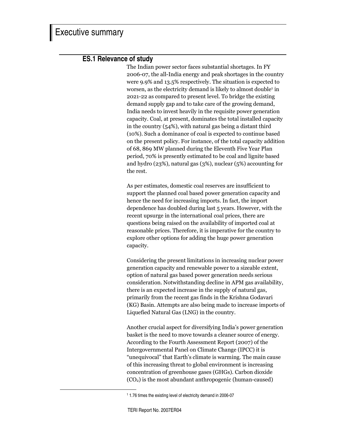# **ES.1 Relevance of study**

The Indian power sector faces substantial shortages. In FY 2006-07, the all-India energy and peak shortages in the country were  $9.9\%$  and  $13.5\%$  respectively. The situation is expected to worsen, as the electricity demand is likely to almost double<sup>1</sup> in 2021-22 as compared to present level. To bridge the existing demand supply gap and to take care of the growing demand, India needs to invest heavily in the requisite power generation capacity. Coal, at present, dominates the total installed capacity in the country  $(54%)$ , with natural gas being a distant third (10%). Such a dominance of coal is expected to continue based on the present policy. For instance, of the total capacity addition of 68, 869 MW planned during the Eleventh Five Year Plan period, 70% is presently estimated to be coal and lignite based and hydro (23%), natural gas (3%), nuclear ( $5\%$ ) accounting for the rest.

As per estimates, domestic coal reserves are insufficient to support the planned coal based power generation capacity and hence the need for increasing imports. In fact, the import dependence has doubled during last 5 years. However, with the recent upsurge in the international coal prices, there are questions being raised on the availability of imported coal at reasonable prices. Therefore, it is imperative for the country to explore other options for adding the huge power generation capacity.

Considering the present limitations in increasing nuclear power generation capacity and renewable power to a sizeable extent, option of natural gas based power generation needs serious consideration. Notwithstanding decline in APM gas availability, there is an expected increase in the supply of natural gas, primarily from the recent gas finds in the Krishna Godavari (KG) Basin. Attempts are also being made to increase imports of Liquefied Natural Gas (LNG) in the country.

Another crucial aspect for diversifying India's power generation basket is the need to move towards a cleaner source of energy. According to the Fourth Assessment Report (2007) of the Intergovernmental Panel on Climate Change (IPCC) it is "unequivocal" that Earth's climate is warming. The main cause of this increasing threat to global environment is increasing concentration of greenhouse gases (GHGs). Carbon dioxide  $(CO<sub>2</sub>)$  is the most abundant anthropogenic (human-caused)

<sup>1</sup> 1.76 times the existing level of electricity demand in 2006-07

TERI Report No. 2007ER04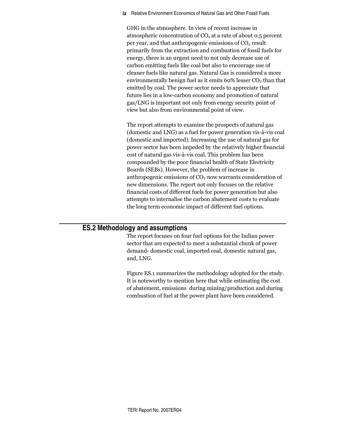**ix** Relative Environment Economics of Natural Gas and Other Fossil Fuels

GHG in the atmosphere. In view of recent increase in atmospheric concentration of  $\mathrm{CO}_2$  at a rate of about 0.5 percent per year, and that anthropogenic emissions of  $\mathrm{CO}_2$  result primarily from the extraction and combustion of fossil fuels for energy, there is an urgent need to not only decrease use of carbon emitting fuels like coal but also to encourage use of cleaner fuels like natural gas. Natural Gas is considered a more environmentally benign fuel as it emits  $60\%$  lesser  $CO<sub>2</sub>$  than that emitted by coal. The power sector needs to appreciate that future lies in a low-carbon economy and promotion of natural gas/LNG is important not only from energy security point of view but also from environmental point of view.

The report attempts to examine the prospects of natural gas (domestic and LNG) as a fuel for power generation vis-à-vis coal (domestic and imported). Increasing the use of natural gas for power sector has been impeded by the relatively higher financial cost of natural gas vis-à-vis coal. This problem has been compounded by the poor financial health of State Electricity Boards (SEBs). However, the problem of increase in anthropogenic emissions of  $CO<sub>2</sub>$  now warrants consideration of new dimensions. The report not only focuses on the relative financial costs of different fuels for power generation but also attempts to internalise the carbon abatement costs to evaluate the long term economic impact of different fuel options.

# **ES.2 Methodology and assumptions**

The report focuses on four fuel options for the Indian power sector that are expected to meet a substantial chunk of power demand- domestic coal, imported coal, domestic natural gas, and, LNG.

Figure ES.1 summarizes the methodology adopted for the study. It is noteworthy to mention here that while estimating the cost of abatement, emissions during mining/production and during combustion of fuel at the power plant have been considered.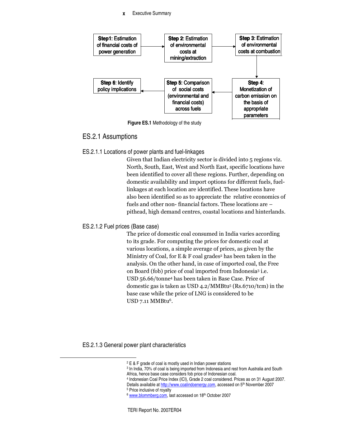

**Figure ES.1** Methodology of the study

## ES.2.1 Assumptions

ES.2.1.1 Locations of power plants and fuel-linkages

Given that Indian electricity sector is divided into 5 regions viz. North, South, East, West and North East, specific locations have been identified to cover all these regions. Further, depending on domestic availability and import options for different fuels, fuellinkages at each location are identified. These locations have also been identified so as to appreciate the relative economics of fuels and other non-financial factors. These locations are  $$ pithead, high demand centres, coastal locations and hinterlands.

#### ES.2.1.2 Fuel prices (Base case)

The price of domestic coal consumed in India varies according to its grade. For computing the prices for domestic coal at various locations, a simple average of prices, as given by the Ministry of Coal, for E & F coal grades<sup>2</sup> has been taken in the analysis. On the other hand, in case of imported coal, the Free on Board (fob) price of coal imported from Indonesia<sup>3</sup> i.e. USD 56.66/tonne<sup>4</sup> has been taken in Base Case. Price of domestic gas is taken as USD 4.2/MMBtu<sup>5</sup> (Rs.6710/tcm) in the base case while the price of LNG is considered to be USD 7.11 MMBtu<sup>6</sup>.

ES.2.1.3 General power plant characteristics

<sup>2</sup> E & F grade of coal is mostly used in Indian power stations

<sup>3</sup> In India, 70% of coal is being imported from Indonesia and rest from Australia and South

Africa, hence base case considers fob price of Indonesian coal.

<sup>4</sup> Indonesian Coal Price Index (ICI), Grade 2 coal considered. Prices as on 31 August 2007. Details available at http://www.coalindoenergy.com, accessed on 5<sup>th</sup> November 2007

<sup>5</sup> Price inclusive of royalty

<sup>&</sup>lt;sup>6</sup> www.blommberg.com, last accessed on 18th October 2007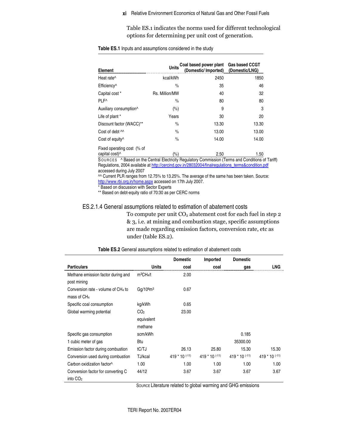#### Relative Environment Economics of Natural Gas and Other Fossil Fuels **xi**

Table ES.1 indicates the norms used for different technological options for determining per unit cost of generation.

| Element                                                  | <b>Units</b>   | Coal based power plant Gas based CCGT<br>(Domestic/Imported) (Domestic/LNG) |       |
|----------------------------------------------------------|----------------|-----------------------------------------------------------------------------|-------|
| Heat rate^                                               | kcal/kWh       | 2450                                                                        | 1850  |
| Efficiency <sup>^</sup>                                  | $\frac{0}{0}$  | 35                                                                          | 46    |
| Capital cost *                                           | Rs. Million/MW | 40                                                                          | 32    |
| PLF <sup>^</sup>                                         | $\frac{0}{0}$  | 80                                                                          | 80    |
| Auxiliary consumption <sup>^</sup>                       | (%)            | 9                                                                           | 3     |
| Life of plant *                                          | Years          | 30                                                                          | 20    |
| Discount factor (WACC)**                                 | $\frac{0}{0}$  | 13.30                                                                       | 13.30 |
| Cost of debt $\sim$                                      | $\frac{0}{0}$  | 13.00                                                                       | 13.00 |
| Cost of equity <sup>^</sup>                              | $\frac{0}{0}$  | 14.00                                                                       | 14.00 |
| Fixed operating cost (% of<br>capital cost) <sup>^</sup> | (%)            | 2.50                                                                        | 1.50  |

#### **Table ES.1** Inputs and assumptions considered in the study

SOUR CE S ^ Based on the Central Electricity Regulatory Commission (Terms and Conditions of Tariff) Regulations, 2004 available at http://cercind.gov.in/28032004/finalregulations\_terms&condition.pdf accessed during July 2007

^^ Current PLR ranges from 12.75% to 13.25%. The average of the same has been taken. Source: http://www.rbi.org.in/home.aspx accessed on 17th July 2007.

\* Based on discussion with Sector Experts

\*\* Based on debt-equity ratio of 70:30 as per CERC norms

#### ES.2.1.4 General assumptions related to estimation of abatement costs

To compute per unit  $\mathrm{CO}_2$  abatement cost for each fuel in step 2 & 3, i.e. at mining and combustion stage, specific assumptions are made regarding emission factors, conversion rate, etc as under (table ES.2).

|                                                            |                                          | <b>Domestic</b>  | Imported         | <b>Domestic</b>  |                  |
|------------------------------------------------------------|------------------------------------------|------------------|------------------|------------------|------------------|
| <b>Particulars</b>                                         | <b>Units</b>                             | coal             | coal             | gas              | <b>LNG</b>       |
| Methane emission factor during and<br>post mining          | $m^3CH_4/t$                              | 2.00             |                  |                  |                  |
| Conversion rate - volume of $CH4$ to<br>mass of $CH4$      | Ga/10 <sup>6</sup> m <sup>3</sup>        | 0.67             |                  |                  |                  |
| Specific coal consumption                                  | kg/kWh                                   | 0.65             |                  |                  |                  |
| Global warming potential                                   | CO <sub>2</sub><br>equivalent<br>methane | 23.00            |                  |                  |                  |
| Specific gas consumption                                   | scm/kWh                                  |                  |                  | 0.185            |                  |
| 1 cubic meter of gas                                       | Btu                                      |                  |                  | 35300.00         |                  |
| Emission factor during combustion                          | tC/TJ                                    | 26.13            | 25.80            | 15.30            | 15.30            |
| Conversion used during combustion                          | TJ/kcal                                  | $419 * 10$ (-11) | $419 * 10$ (-11) | $419 * 10$ (-11) | $419 * 10$ (-11) |
| Carbon oxidization factor^                                 | 1.00                                     | 1.00             | 1.00             | 1.00             | 1.00             |
| Conversion factor for converting C<br>into CO <sub>2</sub> | 44/12                                    | 3.67             | 3.67             | 3.67             | 3.67             |

SOURCE Literature related to global warming and GHG emissions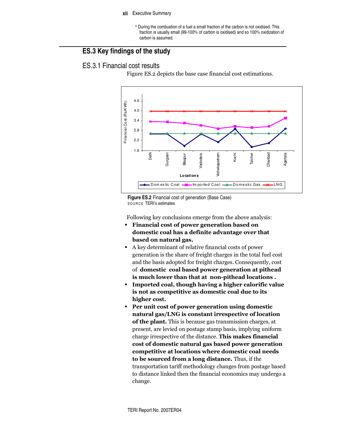#### xii Executive Summary

^ During the combustion of a fuel a small fraction of the carbon is not oxidised. This fraction is usually small (99-100% of carbon is oxidised) and so 100% oxidization of carbon is assumed.

# ES.3 Key findings of the study

# **ES.3.1 Financial cost results**

Figure ES.2 depicts the base case financial cost estimations.



Figure ES.2 Financial cost of generation (Base Case) SOURCE TERI's estimates

Following key conclusions emerge from the above analysis:

- Financial cost of power generation based on domestic coal has a definite advantage over that based on natural gas.
- A key determinant of relative financial costs of power generation is the share of freight charges in the total fuel cost and the basis adopted for freight charges. Consequently, cost of domestic coal based power generation at pithead is much lower than that at non-pithead locations.
- Imported coal, though having a higher calorific value  $\blacksquare$ is not as competitive as domestic coal due to its higher cost.
- Per unit cost of power generation using domestic natural gas/LNG is constant irrespective of location of the plant. This is because gas transmission charges, at present, are levied on postage stamp basis, implying uniform charge irrespective of the distance. This makes financial cost of domestic natural gas based power generation competitive at locations where domestic coal needs to be sourced from a long distance. Thus, if the transportation tariff methodology changes from postage based to distance linked then the financial economics may undergo a change.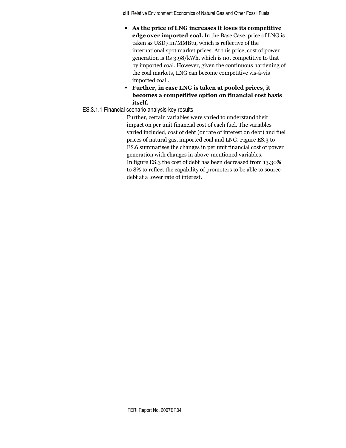**xiji** Relative Environment Economics of Natural Gas and Other Fossil Fuels

- As the price of LNG increases it loses its competitive edge over imported coal. In the Base Case, price of LNG is taken as USD7.11/MMBtu, which is reflective of the international spot market prices. At this price, cost of power generation is Rs 3.98/kWh, which is not competitive to that by imported coal. However, given the continuous hardening of the coal markets, LNG can become competitive vis-à-vis imported coal.
- Further, in case LNG is taken at pooled prices, it becomes a competitive option on financial cost basis itself.

#### ES.3.1.1 Financial scenario analysis-key results

Further, certain variables were varied to understand their impact on per unit financial cost of each fuel. The variables varied included, cost of debt (or rate of interest on debt) and fuel prices of natural gas, imported coal and LNG. Figure ES.3 to ES.6 summarises the changes in per unit financial cost of power generation with changes in above-mentioned variables. In figure ES.3 the cost of debt has been decreased from 13.30% to 8% to reflect the capability of promoters to be able to source debt at a lower rate of interest.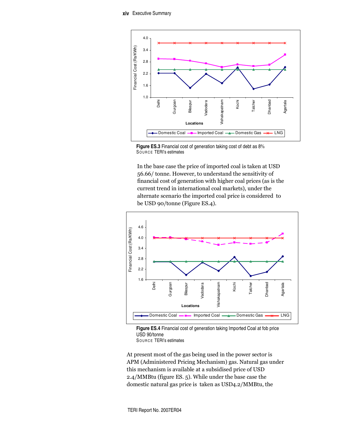

**Figure ES.3** Financial cost of generation taking cost of debt as 8% SOUR CE TERI's estimates

In the base case the price of imported coal is taken at USD 56.66/ tonne. However, to understand the sensitivity of financial cost of generation with higher coal prices (as is the current trend in international coal markets), under the alternate scenario the imported coal price is considered to be USD 90/tonne (Figure ES.4).





SOUR CE TERI's estimates

At present most of the gas being used in the power sector is APM (Administered Pricing Mechanism) gas. Natural gas under this mechanism is available at a subsidised price of USD 2.4/MMBtu (figure ES. 5). While under the base case the domestic natural gas price is taken as USD4.2/MMBtu, the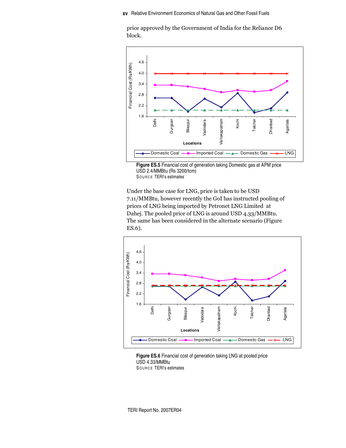price approved by the Government of India for the Reliance D6 block.



**Figure ES.5** Financial cost of generation taking Domestic gas at APM price USD 2.4/MMBtu (Rs 3200/tcm) SOUR CE TERI's estimates

Under the base case for LNG, price is taken to be USD 7.11/MMBtu, however recently the GoI has instructed pooling of prices of LNG being imported by Petronet LNG Limited at Dahej. The pooled price of LNG is around USD 4.33/MMBtu. The same has been considered in the alternate scenario (Figure  $ES.6$ ).



**Figure ES.6** Financial cost of generation taking LNG at pooled price USD 4.33/MMBtu SOUR CE TERI's estimates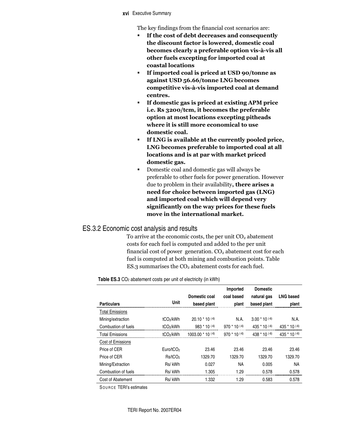#### Executive Summary **xvi**

The key findings from the financial cost scenarios are:

- If the cost of debt decreases and consequently the discount factor is lowered, domestic coal becomes clearly a preferable option vis-à-vis all other fuels excepting for imported coal at coastal locations
- " If imported coal is priced at USD 90/tonne as against USD 56.66/tonne LNG becomes competitive vis-à-vis imported coal at demand centres.
- **If domestic gas is priced at existing APM price** i.e. Rs 3200/tcm, it becomes the preferable option at most locations excepting pitheads where it is still more economical to use domestic coal.
- If LNG is available at the currently pooled price, LNG becomes preferable to imported coal at all locations and is at par with market priced domestic gas.
- Domestic coal and domestic gas will always be preferable to other fuels for power generation. However due to problem in their availability, **there arises a** need for choice between imported gas (LNG) and imported coal which will depend very significantly on the way prices for these fuels move in the international market.

#### ES.3.2 Economic cost analysis and results

To arrive at the economic costs, the per unit  $\rm CO_2$  abatement costs for each fuel is computed and added to the per unit financial cost of power generation.  $CO<sub>2</sub>$  abatement cost for each fuel is computed at both mining and combustion points. Table ES.3 summarises the  $CO<sub>2</sub>$  abatement costs for each fuel.

#### **Table ES.3** CO<sub>2</sub> abatement costs per unit of electricity (in kWh)

|                        |                       |                              | Imported          | <b>Domestic</b>    |                   |
|------------------------|-----------------------|------------------------------|-------------------|--------------------|-------------------|
|                        |                       | Domestic coal                | coal based        | natural gas        | <b>LNG based</b>  |
| <b>Particulars</b>     | Unit                  | based plant                  | plant             | based plant        | plant             |
| <b>Total Emissions</b> |                       |                              |                   |                    |                   |
| Mining/extraction      | tCO <sub>2</sub> /kWh | $20.10 * 10^{(-6)}$          | N.A.              | $3.00 * 10^{(-6)}$ | N.A.              |
| Combustion of fuels    | tCO <sub>2</sub> /kWh | $983 * 10^{(-6)}$            | $970 * 10^{(-6)}$ | 435 $*$ 10 $(-6)$  | $435 * 10^{(-6)}$ |
| <b>Total Emissions</b> | tCO2/kWh              | 1003.00 * 10 <sup>(-6)</sup> | $970 * 10$ (-6)   | $438 * 10^{(-6)}$  | 435 $*$ 10 $(-6)$ |
| Cost of Emissions      |                       |                              |                   |                    |                   |
| Price of CFR           | Euro/tCO <sub>2</sub> | 23.46                        | 23.46             | 23.46              | 23.46             |
| Price of CER           | Rs/tCO <sub>2</sub>   | 1329.70                      | 1329.70           | 1329.70            | 1329.70           |
| Mining/Extraction      | Rs/kWh                | 0.027                        | ΝA                | 0.005              | <b>NA</b>         |
| Combustion of fuels    | Rs/kWh                | 1.305                        | 1.29              | 0.578              | 0.578             |
| Cost of Abatement      | Rs/kWh                | 1.332                        | 1.29              | 0.583              | 0.578             |

SOURCE TERI's estimates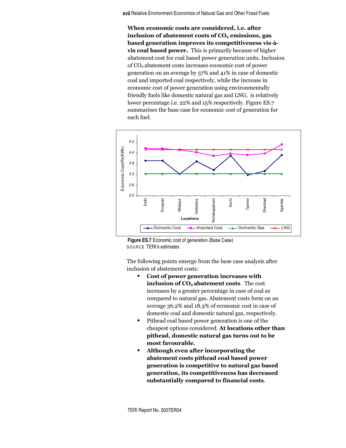Relative Environment Economics of Natural Gas and Other Fossil Fuels **xvii**

When economic costs are considered, i.e. after inclusion of abatement costs of CO $_{\rm 2}$  emissions, gas based generation improves its competitiveness vis-àvis coal based power. This is primarily because of higher abatement cost for coal based power generation units. Inclusion of  $\mathrm{CO}_2$  abatement costs increases economic cost of power generation on an average by 57% and 41% in case of domestic coal and imported coal respectively, while the increase in economic cost of power generation using environmentally friendly fuels like domestic natural gas and LNG, is relatively  $\,$ lower percentage i.e. 22% and 15% respectively. Figure ES.7 summarises the base case for economic cost of generation for each fuel.



**Figure ES.7** Economic cost of generation (Base Case) SOURCE TERI's estimates

The following points emerge from the base case analysis after inclusion of abatement costs:

- Cost of power generation increases with inclusion of CO<sub>2</sub> abatement costs. The cost increases by a greater percentage in case of coal as compared to natural gas. Abatement costs form on an average 36.2% and 18.3% of economic cost in case of domestic coal and domestic natural gas, respectively.
- Pithead coal based power generation is one of the cheapest options considered. At locations other than pithead, domestic natural gas turns out to be most favourable.
- Although even after incorporating the abatement costs pithead coal based power generation is competitive to natural gas based generation, its competitiveness has decreased substantially compared to financial costs.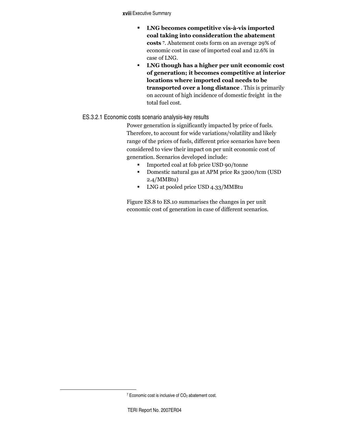Executive Summary **xviii**

- " LNG becomes competitive vis-à-vis imported coal taking into consideration the abatement costs 7. Abatement costs form on an average 29% of economic cost in case of imported coal and 12.6% in case of LNG.
- LNG though has a higher per unit economic cost of generation; it becomes competitive at interior locations where imported coal needs to be **transported over a long distance** . This is primarily on account of high incidence of domestic freight in the total fuel cost.

### ES.3.2.1 Economic costs scenario analysis-key results

Power generation is significantly impacted by price of fuels. Therefore, to account for wide variations/volatility and likely range of the prices of fuels, different price scenarios have been considered to view their impact on per unit economic cost of generation. Scenarios developed include:

- Imported coal at fob price USD 90/tonne
- Domestic natural gas at APM price Rs 3200/tcm (USD  $2.4/MM$ Btu)
- LNG at pooled price USD 4.33/MMBtu

Figure ES.8 to ES.10 summarises the changes in per unit economic cost of generation in case of different scenarios.

 $7$  Economic cost is inclusive of  $CO<sub>2</sub>$  abatement cost.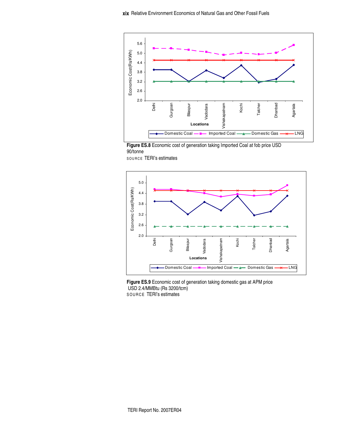



SOURCE TERI's estimates



**Figure ES.9** Economic cost of generation taking domestic gas at APM price USD 2.4/MMBtu (Rs 3200/tcm) SOURCE TERI's estimates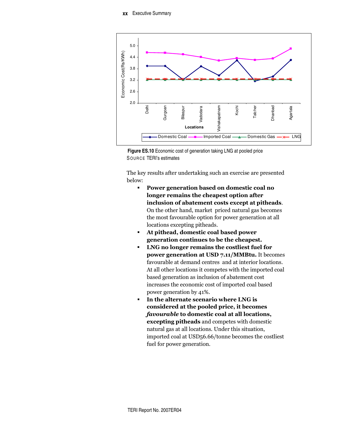

**Figure ES.10** Economic cost of generation taking LNG at pooled price SOURCE TERI's estimates

The key results after undertaking such an exercise are presented below:

- " Power generation based on domestic coal no longer remains the cheapest option after inclusion of abatement costs except at pitheads. On the other hand, market priced natural gas becomes the most favourable option for power generation at all locations excepting pitheads.
- **At pithead, domestic coal based power** generation continues to be the cheapest.
- LNG no longer remains the costliest fuel for power generation at USD 7.11/MMBtu. It becomes favourable at demand centres and at interior locations. At all other locations it competes with the imported coal based generation as inclusion of abatement cost increases the economic cost of imported coal based power generation by 41%.
- In the alternate scenario where LNG is considered at the pooled price, it becomes *favourable* to domestic coal at all locations, **excepting pitheads** and competes with domestic natural gas at all locations. Under this situation, imported coal at USD56.66/tonne becomes the costliest fuel for power generation.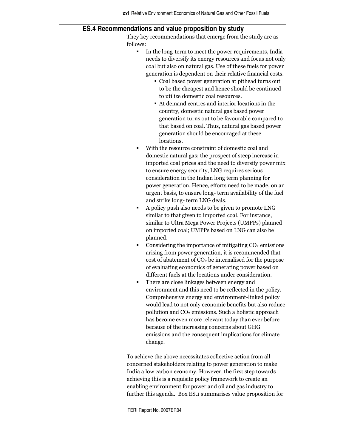#### **ES.4 Recommendations and value proposition by study**

They key recommendations that emerge from the study are as follows:

- In the long-term to meet the power requirements, India needs to diversify its energy resources and focus not only coal but also on natural gas. Use of these fuels for power generation is dependent on their relative financial costs.
	- Coal based power generation at pithead turns out to be the cheapest and hence should be continued to utilize domestic coal resources.
	- At demand centres and interior locations in the country, domestic natural gas based power generation turns out to be favourable compared to that based on coal. Thus, natural gas based power generation should be encouraged at these locations.
- With the resource constraint of domestic coal and domestic natural gas; the prospect of steep increase in imported coal prices and the need to diversify power mix to ensure energy security, LNG requires serious consideration in the Indian long term planning for power generation. Hence, efforts need to be made, on an urgent basis, to ensure long- term availability of the fuel and strike long- term LNG deals.
- A policy push also needs to be given to promote LNG similar to that given to imported coal. For instance, similar to Ultra Mega Power Projects (UMPPs) planned on imported coal; UMPPs based on LNG can also be planned.
- Considering the importance of mitigating CO<sub>2</sub> emissions arising from power generation, it is recommended that  $\cos t$  of abatement of  $\rm CO_2$  be internalised for the purpose of evaluating economics of generating power based on different fuels at the locations under consideration.
- There are close linkages between energy and environment and this need to be reflected in the policy. Comprehensive energy and environment-linked policy would lead to not only economic benefits but also reduce pollution and  $\mathrm{CO}_2$  emissions. Such a holistic approach has become even more relevant today than ever before because of the increasing concerns about GHG emissions and the consequent implications for climate change.

To achieve the above necessitates collective action from all concerned stakeholders relating to power generation to make India a low carbon economy. However, the first step towards achieving this is a requisite policy framework to create an enabling environment for power and oil and gas industry to further this agenda. Box ES.1 summarises value proposition for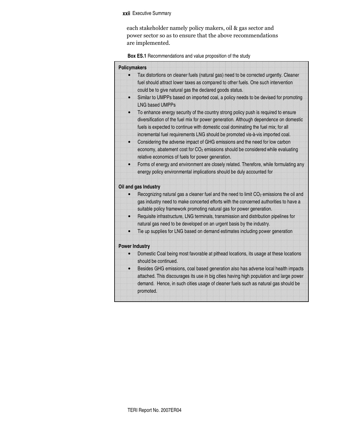#### Executive Summary **xxii**

each stakeholder namely policy makers, oil & gas sector and power sector so as to ensure that the above recommendations are implemented.

**Box ES.1** Recommendations and value proposition of the study

| <b>Policymakers</b> |                                                                                                                                                                             |
|---------------------|-----------------------------------------------------------------------------------------------------------------------------------------------------------------------------|
|                     | Tax distortions on cleaner fuels (natural gas) need to be corrected urgently. Cleaner                                                                                       |
|                     | fuel should attract lower taxes as compared to other fuels. One such intervention<br>could be to give natural gas the declared goods status.                                |
| $\bullet$           | Similar to UMPPs based on imported coal, a policy needs to be devised for promoting<br><b>LNG based UMPPs</b>                                                               |
| $\bullet$           | To enhance energy security of the country strong policy push is required to ensure<br>diversification of the fuel mix for power generation. Although dependence on domestic |
|                     | fuels is expected to continue with domestic coal dominating the fuel mix; for all                                                                                           |
|                     | incremental fuel requirements LNG should be promoted vis-à-vis imported coal.                                                                                               |
|                     | Considering the adverse impact of GHG emissions and the need for low carbon                                                                                                 |
|                     | economy, abatement cost for CO <sub>2</sub> emissions should be considered while evaluating                                                                                 |
|                     | relative economics of fuels for power generation.                                                                                                                           |
| $\bullet$           | Forms of energy and environment are closely related. Therefore, while formulating any                                                                                       |
|                     | energy policy environmental implications should be duly accounted for                                                                                                       |
|                     | Oil and gas Industry                                                                                                                                                        |
|                     | Recognizing natural gas a cleaner fuel and the need to limit CO <sub>2</sub> emissions the oil and                                                                          |
|                     | gas industry need to make concerted efforts with the concerned authorities to have a                                                                                        |
|                     | suitable policy framework promoting natural gas for power generation.                                                                                                       |
| $\bullet$           | Requisite infrastructure, LNG terminals, transmission and distribution pipelines for                                                                                        |
|                     | natural gas need to be developed on an urgent basis by the industry.                                                                                                        |
| $\bullet$           | Tie up supplies for LNG based on demand estimates including power generation                                                                                                |
|                     | <b>Power Industry</b>                                                                                                                                                       |
|                     | Domestic Coal being most favorable at pithead locations, its usage at these locations                                                                                       |
|                     | should be continued.                                                                                                                                                        |
|                     | Besides GHG emissions, coal based generation also has adverse local health impacts                                                                                          |
|                     | attached. This discourages its use in big cities having high population and large power                                                                                     |
|                     | demand. Hence, in such cities usage of cleaner fuels such as natural gas should be<br>promoted.                                                                             |
|                     |                                                                                                                                                                             |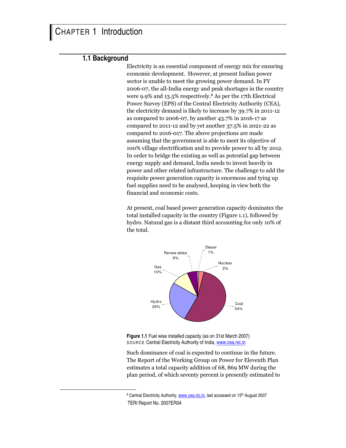#### **1.1 Background**

Electricity is an essential component of energy mix for ensuring economic development. However, at present Indian power sector is unable to meet the growing power demand. In FY 2006-07, the all-India energy and peak shortages in the country were 9.9% and 13.5% respectively.<sup>8</sup> As per the 17th Electrical Power Survey (EPS) of the Central Electricity Authority (CEA), the electricity demand is likely to increase by 39.7% in 2011-12 as compared to 2006-07, by another 43.7% in 2016-17 as compared to 2011-12 and by yet another 37.5% in 2021-22 as compared to 2016-017. The above projections are made assuming that the government is able to meet its objective of 100% village electrification and to provide power to all by 2012. In order to bridge the existing as well as potential gap between energy supply and demand, India needs to invest heavily in power and other related infrastructure. The challenge to add the requisite power generation capacity is enormous and tying up fuel supplies need to be analysed, keeping in view both the financial and economic costs.

At present, coal based power generation capacity dominates the total installed capacity in the country (Figure 1.1), followed by hydro. Natural gas is a distant third accounting for only 10% of the total.





Such dominance of coal is expected to continue in the future. The Report of the Working Group on Power for Eleventh Plan estimates a total capacity addition of 68, 869 MW during the plan period, of which seventy percent is presently estimated to

TERI Report No. 2007ER04 <sup>8</sup> Central Electricity Authority, www.cea.nic.in, last accessed on 15<sup>th</sup> August 2007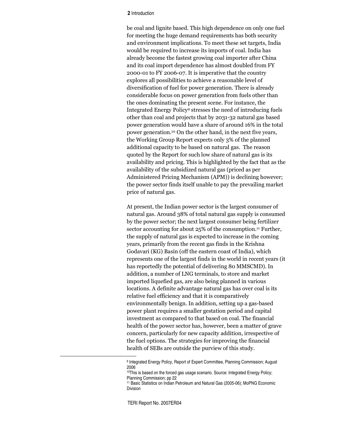#### **2** Introduction

be coal and lignite based. This high dependence on only one fuel for meeting the huge demand requirements has both security and environment implications. To meet these set targets, India would be required to increase its imports of coal. India has already become the fastest growing coal importer after China and its coal import dependence has almost doubled from FY 2000-01 to FY 2006-07. It is imperative that the country explores all possibilities to achieve a reasonable level of diversification of fuel for power generation. There is already considerable focus on power generation from fuels other than the ones dominating the present scene. For instance, the Integrated Energy Policy<sup>9</sup> stresses the need of introducing fuels other than coal and projects that by 2031-32 natural gas based power generation would have a share of around 16% in the total power generation.<sup>10</sup> On the other hand, in the next five years, the Working Group Report expects only 3% of the planned additional capacity to be based on natural gas. The reason quoted by the Report for such low share of natural gas is its availability and pricing. This is highlighted by the fact that as the availability of the subsidized natural gas (priced as per Administered Pricing Mechanism (APM)) is declining however; the power sector finds itself unable to pay the prevailing market price of natural gas.

At present, the Indian power sector is the largest consumer of natural gas. Around 38% of total natural gas supply is consumed by the power sector; the next largest consumer being fertilizer sector accounting for about 25% of the consumption.11 Further, the supply of natural gas is expected to increase in the coming years, primarily from the recent gas finds in the Krishna Godavari (KG) Basin (off the eastern coast of India), which represents one of the largest finds in the world in recent years (it has reportedly the potential of delivering 80 MMSCMD). In addition, a number of LNG terminals, to store and market imported liquefied gas, are also being planned in various locations. A definite advantage natural gas has over coal is its relative fuel efficiency and that it is comparatively environmentally benign. In addition, setting up a gas-based power plant requires a smaller gestation period and capital investment as compared to that based on coal. The financial health of the power sector has, however, been a matter of grave concern, particularly for new capacity addition, irrespective of the fuel options. The strategies for improving the financial health of SEBs are outside the purview of this study.

<sup>&</sup>lt;sup>9</sup> Integrated Energy Policy, Report of Expert Committee, Planning Commission; August 2006

<sup>10</sup>This is based on the forced gas usage scenario. Source: Integrated Energy Policy; Planning Commission; pp 22

<sup>11</sup> Basic Statistics on Indian Petroleum and Natural Gas (2005-06); MoPNG Economic Division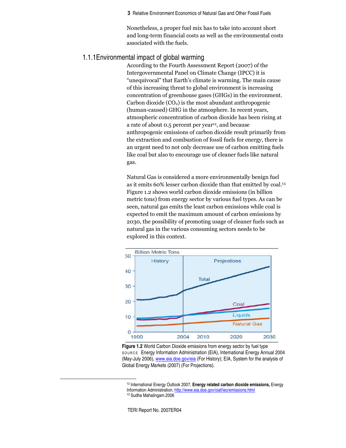Nonetheless, a proper fuel mix has to take into account short and long-term financial costs as well as the environmental costs associated with the fuels.

### 1.1.1Environmental impact of global warming

According to the Fourth Assessment Report (2007) of the Intergovernmental Panel on Climate Change (IPCC) it is "unequivocal" that Earth's climate is warming. The main cause of this increasing threat to global environment is increasing concentration of greenhouse gases (GHGs) in the environment. Carbon dioxide  $(CO<sub>2</sub>)$  is the most abundant anthropogenic (human-caused) GHG in the atmosphere. In recent years, atmospheric concentration of carbon dioxide has been rising at a rate of about  $0.5$  percent per year<sup>12</sup>, and because anthropogenic emissions of carbon dioxide result primarily from the extraction and combustion of fossil fuels for energy, there is an urgent need to not only decrease use of carbon emitting fuels like coal but also to encourage use of cleaner fuels like natural gas.

Natural Gas is considered a more environmentally benign fuel as it emits 60% lesser carbon dioxide than that emitted by coal.<sup>13</sup> Figure 1.2 shows world carbon dioxide emissions (in billion metric tons) from energy sector by various fuel types. As can be seen, natural gas emits the least carbon emissions while coal is expected to emit the maximum amount of carbon emissions by 2030, the possibility of promoting usage of cleaner fuels such as natural gas in the various consuming sectors needs to be explored in this context.



**Figure 1.2** World Carbon Dioxide emissions from energy sector by fuel type SOUR CE Energy Information Administration (EIA), International Energy Annual 2004 (May-July 2006), www.eia.doe.gov/eia (For History); EIA, System for the analysis of Global Energy Markets (2007) (For Projections).

<sup>12</sup> International Energy Outlook 2007, **Energy related carbon dioxide emissions,** Energy Information Administration, http://www.eia.doe.gov/oiaf/ieo/emissions.html <sup>13</sup> Sudha Mahalingam.2006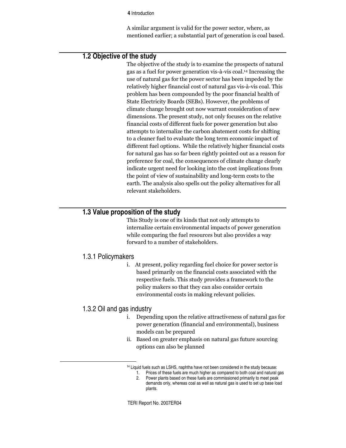**4** Introduction

A similar argument is valid for the power sector, where, as mentioned earlier; a substantial part of generation is coal based.

# **1.2 Objective of the study**

The objective of the study is to examine the prospects of natural gas as a fuel for power generation vis-à-vis coal.<sup>14</sup> Increasing the use of natural gas for the power sector has been impeded by the relatively higher financial cost of natural gas vis-à-vis coal. This problem has been compounded by the poor financial health of State Electricity Boards (SEBs). However, the problems of climate change brought out now warrant consideration of new dimensions. The present study, not only focuses on the relative financial costs of different fuels for power generation but also attempts to internalize the carbon abatement costs for shifting to a cleaner fuel to evaluate the long term economic impact of different fuel options. While the relatively higher financial costs for natural gas has so far been rightly pointed out as a reason for preference for coal, the consequences of climate change clearly indicate urgent need for looking into the cost implications from the point of view of sustainability and long-term costs to the earth. The analysis also spells out the policy alternatives for all relevant stakeholders.

# **1.3 Value proposition of the study**

This Study is one of its kinds that not only attempts to internalize certain environmental impacts of power generation while comparing the fuel resources but also provides a way forward to a number of stakeholders.

#### 1.3.1 Policymakers

i. At present, policy regarding fuel choice for power sector is based primarily on the financial costs associated with the respective fuels. This study provides a framework to the policy makers so that they can also consider certain environmental costs in making relevant policies.

### 1.3.2 Oil and gas industry

- i. Depending upon the relative attractiveness of natural gas for power generation (financial and environmental), business models can be prepared
- ii. Based on greater emphasis on natural gas future sourcing options can also be planned

<sup>&</sup>lt;sup>14</sup> Liquid fuels such as LSHS, naphtha have not been considered in the study because:

<sup>1.</sup> Prices of these fuels are much higher as compared to both coal and natural gas

<sup>2.</sup> Power plants based on these fuels are commissioned primarily to meet peak demands only, whereas coal as well as natural gas is used to set up base load plants.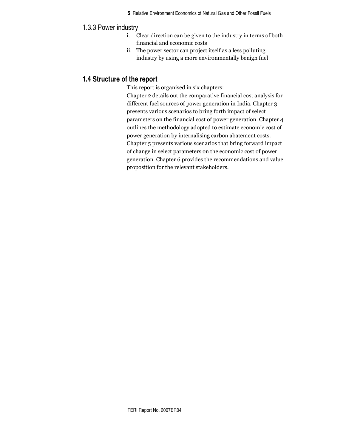# 1.3.3 Power industry

- i. Clear direction can be given to the industry in terms of both financial and economic costs
- ii. The power sector can project itself as a less polluting industry by using a more environmentally benign fuel

# 1.4 Structure of the report

This report is organised in six chapters: Chapter 2 details out the comparative financial cost analysis for different fuel sources of power generation in India. Chapter 3 presents various scenarios to bring forth impact of select parameters on the financial cost of power generation. Chapter 4 outlines the methodology adopted to estimate economic cost of power generation by internalising carbon abatement costs. Chapter 5 presents various scenarios that bring forward impact of change in select parameters on the economic cost of power generation. Chapter 6 provides the recommendations and value proposition for the relevant stakeholders.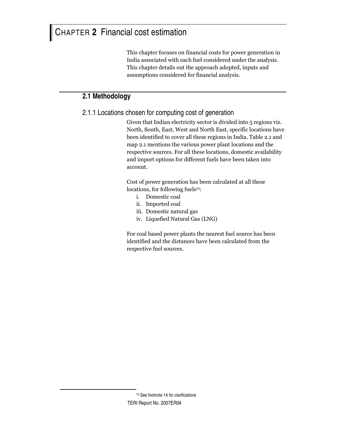# CHAPTER **2** Financial cost estimation

This chapter focuses on financial costs for power generation in India associated with each fuel considered under the analysis. This chapter details out the approach adopted, inputs and assumptions considered for financial analysis.

# **2.1 Methodology**

2.1.1 Locations chosen for computing cost of generation

Given that Indian electricity sector is divided into 5 regions viz. North, South, East, West and North East, specific locations have been identified to cover all these regions in India. Table 2.1 and map 2.1 mentions the various power plant locations and the respective sources. For all these locations, domestic availability and import options for different fuels have been taken into account.

Cost of power generation has been calculated at all these locations, for following fuels<sup>15</sup>:

- i. Domestic coal
- ii. Imported coal
- iii. Domestic natural gas
- iv. Liquefied Natural Gas (LNG)

For coal based power plants the nearest fuel source has been identified and the distances have been calculated from the respective fuel sources.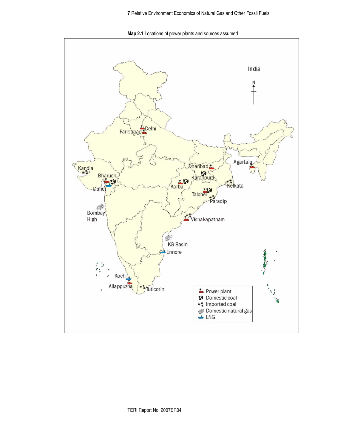**Map 2.1** Locations of power plants and sources assumed

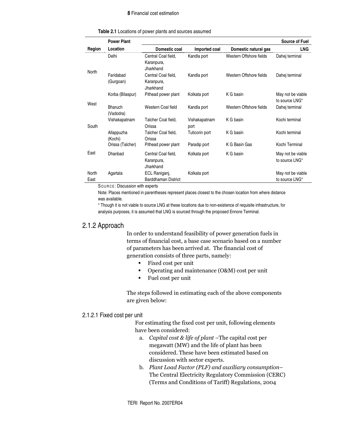#### **8** Financial cost estimation

|               | <b>Power Plant</b>     |                                                |                       |                         | Source of Fuel                      |
|---------------|------------------------|------------------------------------------------|-----------------------|-------------------------|-------------------------------------|
| Region        | Location               | Domestic coal                                  | Imported coal         | Domestic natural gas    | <b>LNG</b>                          |
| North         | Delhi                  | Central Coal field,<br>Karanpura,<br>Jharkhand | Kandla port           | Western Offshore fields | Dahej terminal                      |
|               | Faridabad<br>(Gurgoan) | Central Coal field,<br>Karanpura,<br>Jharkhand | Kandla port           | Western Offshore fields | Dahej terminal                      |
|               | Korba (Bilaspur)       | Pithead power plant                            | Kolkata port          | K G basin               | May not be viable<br>to source LNG* |
| West          | Bharuch<br>(Vadodra)   | Western Coal field                             | Kandla port           | Western Offshore fields | Dahej terminal                      |
| South         | Vishakapatnam          | Talcher Coal field,<br>Orissa                  | Vishakapatnam<br>port | K G basin               | Kochi terminal                      |
|               | Allappuzha<br>(Kochi)  | Talcher Coal field,<br>Orissa                  | Tuticorin port        | K G basin               | Kochi terminal                      |
|               | Orissa (Talcher)       | Pithead power plant                            | Paradip port          | K G Basin Gas           | Kochi Terminal                      |
| East          | Dhanbad                | Central Coal field,<br>Karanpura,<br>Jharkhand | Kolkata port          | K G basin               | May not be viable<br>to source LNG* |
| North<br>East | Agartala               | ECL Raniganj,<br>Barddhaman District           | Kolkata port          |                         | May not be viable<br>to source LNG* |

SOUR CE : Discussion with experts

Note: Places mentioned in parentheses represent places closest to the chosen location from where distance was available.

\* Though it is not viable to source LNG at these locations due to non-existence of requisite infrastructure, for analysis purposes, it is assumed that LNG is sourced through the proposed Ennore Terminal.

#### 2.1.2 Approach

In order to understand feasibility of power generation fuels in terms of financial cost, a base case scenario based on a number of parameters has been arrived at. The financial cost of generation consists of three parts, namely:

- Fixed cost per unit
- Operating and maintenance (O&M) cost per unit
- Fuel cost per unit

The steps followed in estimating each of the above components are given below:

#### 2.1.2.1 Fixed cost per unit

For estimating the fixed cost per unit, following elements have been considered:

- a. *Capital cost & life of plant –*The capital cost per megawatt (MW) and the life of plant has been considered. These have been estimated based on discussion with sector experts.
- b. Plant Load Factor (PLF) and auxiliary consumption– The Central Electricity Regulatory Commission (CERC) (Terms and Conditions of Tariff) Regulations, 2004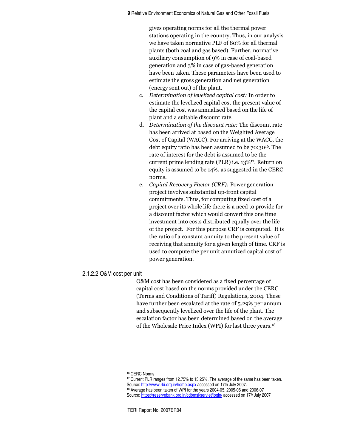gives operating norms for all the thermal power stations operating in the country. Thus, in our analysis we have taken normative PLF of 80% for all thermal plants (both coal and gas based). Further, normative auxiliary consumption of 9% in case of coal-based generation and 3% in case of gas-based generation have been taken. These parameters have been used to estimate the gross generation and net generation (energy sent out) of the plant.

- c. Determination of levelized capital cost: In order to estimate the levelized capital cost the present value of the capital cost was annualised based on the life of plant and a suitable discount rate.
- d. Determination of the discount rate: The discount rate has been arrived at based on the Weighted Average Cost of Capital (WACC). For arriving at the WACC, the debt equity ratio has been assumed to be 70:3016. The rate of interest for the debt is assumed to be the current prime lending rate (PLR) i.e. 13%17. Return on equity is assumed to be 14%, as suggested in the CERC norms.
- e. Capital Recovery Factor (CRF): Power generation project involves substantial up-front capital commitments. Thus, for computing fixed cost of a project over its whole life there is a need to provide for a discount factor which would convert this one time investment into costs distributed equally over the life of the project. For this purpose CRF is computed. It is the ratio of a constant annuity to the present value of receiving that annuity for a given length of time. CRF is used to compute the per unit annutized capital cost of power generation.

#### 2.1.2.2 O&M cost per unit

O&M cost has been considered as a fixed percentage of capital cost based on the norms provided under the CERC (Terms and Conditions of Tariff) Regulations, 2004. These have further been escalated at the rate of 5.29% per annum and subsequently levelized over the life of the plant. The escalation factor has been determined based on the average of the Wholesale Price Index (WPI) for last three years.<sup>18</sup>

<sup>16</sup> CERC Norms

<sup>17</sup> Current PLR ranges from 12.75% to 13.25%. The average of the same has been taken. Source: http://www.rbi.org.in/home.aspx accessed on 17th July 2007. <sup>18</sup> Average has been taken of WPI for the years 2004-05, 2005-06 and 2006-07

Source: https://reservebank.org.in/cdbmsi/servlet/login/ accessed on 17th July 2007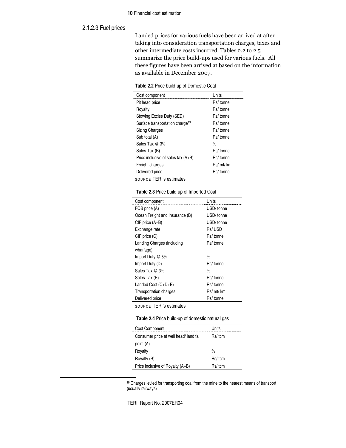#### **10** Financial cost estimation

#### 2.1.2.3 Fuel prices

Landed prices for various fuels have been arrived at after taking into consideration transportation charges, taxes and other intermediate costs incurred. Tables 2.2 to 2.5 summarize the price build-ups used for various fuels. All these figures have been arrived at based on the information as available in December 2007.

|  |  | Table 2.2 Price build-up of Domestic Coal |  |
|--|--|-------------------------------------------|--|
|--|--|-------------------------------------------|--|

| Cost component                              | Units         |
|---------------------------------------------|---------------|
| Pit head price                              | Rs/ tonne     |
| Rovalty                                     | Rs/ tonne     |
| Stowing Excise Duty (SED)                   | Rs/ tonne     |
| Surface transportation charge <sup>19</sup> | Rs/ tonne     |
| <b>Sizing Charges</b>                       | Rs/ tonne     |
| Sub total (A)                               | Rs/tonne      |
| Sales Tax $@3\%$                            | $\frac{0}{0}$ |
| Sales Tax (B)                               | Rs/tonne      |
| Price inclusive of sales tax (A+B)          | Rs/ tonne     |
| Freight charges                             | Rs/ mt/ km    |
| Delivered price                             | Rs/ tonne     |

SOURCE TERI's estimates

| Table 2.3 Price build-up of Imported Coal |  |  |  |  |  |
|-------------------------------------------|--|--|--|--|--|
|-------------------------------------------|--|--|--|--|--|

| Cost component                  | Units         |
|---------------------------------|---------------|
| FOB price (A)                   | USD/tonne     |
| Ocean Freight and Insurance (B) | USD/tonne     |
| $CIF$ price $(A+B)$             | USD/tonne     |
| Exchange rate                   | Rs/USD        |
| $CIF$ price $(C)$               | Rs/tonne      |
| Landing Charges (including      | Rs/tonne      |
| wharfage)                       |               |
| Import Duty @ 5%                | $\frac{0}{0}$ |
| Import Duty (D)                 | Rs/tonne      |
| Sales Tax $@3\%$                | $\frac{0}{n}$ |
| Sales Tax (E)                   | Rs/tonne      |
| Landed Cost (C+D+E)             | Rs/tonne      |
| <b>Transportation charges</b>   | Rs/ mt/ km    |
| Delivered price                 | Rs/ tonne     |
|                                 |               |

SOURCE TERI's estimates

**Table 2.4** Price build-up of domestic natural gas

| <b>Cost Component</b>                 | Units         |
|---------------------------------------|---------------|
| Consumer price at well head/land fall | Rs/tcm        |
| point (A)                             |               |
| Royalty                               | $\frac{0}{0}$ |
| Royalty (B)                           | Rs/tcm        |
| Price inclusive of Royalty (A+B)      | Rs/tcm        |

<sup>19</sup> Charges levied for transporting coal from the mine to the nearest means of transport (usually railways)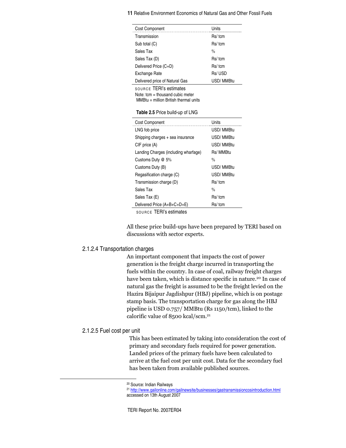| 11 Relative Environment Economics of Natural Gas and Other Fossil Fuels |  |
|-------------------------------------------------------------------------|--|
|-------------------------------------------------------------------------|--|

| Cost Component                                                                                                  | Units         |
|-----------------------------------------------------------------------------------------------------------------|---------------|
| Transmission                                                                                                    | Rs/tcm        |
| Sub total (C)                                                                                                   | Rs/ tcm       |
| Sales Tax                                                                                                       | $\frac{0}{0}$ |
| Sales Tax (D)                                                                                                   | Rs/tcm        |
| Delivered Price (C+D)                                                                                           | Rs/tcm        |
| Exchange Rate                                                                                                   | Rs/USD        |
| Delivered price of Natural Gas                                                                                  | USD/MMBtu     |
| <b>SOURCE TERI's estimates</b><br>Note: $tem = thousand cubic$ meter<br>$MMBtu = million British thermal units$ |               |
| Table 2.5 Price build-up of LNG                                                                                 |               |
| Cost Component                                                                                                  | Units         |
| LNG fob price                                                                                                   | USD/MMBtu     |
| Shipping charges + sea insurance                                                                                | USD/MMBtu     |
| CIF price (A)                                                                                                   | USD/MMBtu     |
| Landing Charges (including wharfage)                                                                            | Rs/ MMBtu     |
| Customs Duty @ 5%                                                                                               | $\frac{0}{0}$ |
| Customs Duty (B)                                                                                                | USD/MMBtu     |
| Regasification charge (C)                                                                                       | USD/MMBtu     |
| Transmission charge (D)                                                                                         | Rs/tcm        |
| Sales Tax                                                                                                       | $\frac{0}{0}$ |
| Sales Tax (E)                                                                                                   | Rs/tcm        |

SOURCE TERI's estimates

All these price build-ups have been prepared by TERI based on discussions with sector experts.

#### 2.1.2.4 Transportation charges

An important component that impacts the cost of power generation is the freight charge incurred in transporting the fuels within the country. In case of coal, railway freight charges have been taken, which is distance specific in nature.<sup>20</sup> In case of natural gas the freight is assumed to be the freight levied on the Hazira Bijaipur Jagdishpur (HBJ) pipeline, which is on postage stamp basis. The transportation charge for gas along the HBJ pipeline is USD 0.757/ MMBtu (Rs 1150/tcm), linked to the calorific value of 8500 kcal/scm.<sup>21</sup>

#### 2.1.2.5 Fuel cost per unit

This has been estimated by taking into consideration the cost of primary and secondary fuels required for power generation. Landed prices of the primary fuels have been calculated to arrive at the fuel cost per unit cost. Data for the secondary fuel has been taken from available published sources.

<sup>20</sup> Source: Indian Railways

<sup>21</sup> http://www.gailonline.com/gailnewsite/businesses/gastransmissioncosintroduction.html accessed on 13th August 2007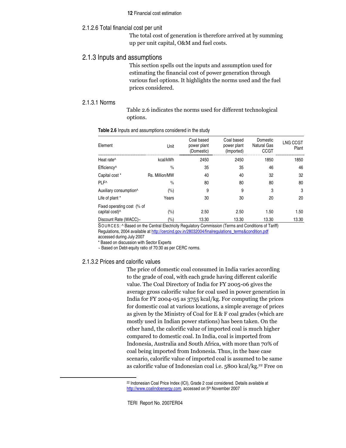#### **12** Financial cost estimation

#### 2.1.2.6 Total financial cost per unit

The total cost of generation is therefore arrived at by summing up per unit capital, O&M and fuel costs.

#### 2.1.3 Inputs and assumptions

This section spells out the inputs and assumption used for estimating the financial cost of power generation through various fuel options. It highlights the norms used and the fuel prices considered.

#### 2.1.3.1 Norms

Table 2.6 indicates the norms used for different technological options.

| Element                                                  | Unit           | Coal based<br>power plant<br>(Domestic) | Coal based<br>power plant<br>(Imported) | Domestic<br><b>Natural Gas</b><br>CCGT | LNG CCGT<br>Plant |
|----------------------------------------------------------|----------------|-----------------------------------------|-----------------------------------------|----------------------------------------|-------------------|
| Heat rate^                                               | kcal/kWh       | 2450                                    | 2450                                    | 1850                                   | 1850              |
| Efficiency <sup>^</sup>                                  | $\frac{0}{0}$  | 35                                      | 35                                      | 46                                     | 46                |
| Capital cost *                                           | Rs. Million/MW | 40                                      | 40                                      | 32                                     | 32                |
| PLF^                                                     | $\frac{0}{0}$  | 80                                      | 80                                      | 80                                     | 80                |
| Auxiliary consumption^                                   | (%)            | 9                                       | 9                                       | 3                                      | 3                 |
| Life of plant *                                          | Years          | 30                                      | 30                                      | 20                                     | 20                |
| Fixed operating cost (% of<br>capital cost) <sup>^</sup> | $(\% )$        | 2.50                                    | 2.50                                    | 1.50                                   | 1.50              |
| Discount Rate (WACC)~                                    | (%)            | 13.30                                   | 13.30                                   | 13.30                                  | 13.30             |

#### **Table 2.6** Inputs and assumptions considered in the study

SOURCES: ^ Based on the Central Electricity Regulatory Commission (Terms and Conditions of Tariff) Regulations, 2004 available at http://cercind.gov.in/28032004/finalregulations\_terms&condition.pdf accessed during July 2007

\* Based on discussion with Sector Experts

~ Based on Debt-equity ratio of 70:30 as per CERC norms.

#### 2.1.3.2 Prices and calorific values

The price of domestic coal consumed in India varies according to the grade of coal, with each grade having different calorific value. The Coal Directory of India for FY 2005-06 gives the average gross calorific value for coal used in power generation in India for FY 2004-05 as 3755 kcal/kg. For computing the prices for domestic coal at various locations, a simple average of prices as given by the Ministry of Coal for E  $&$  F coal grades (which are mostly used in Indian power stations) has been taken. On the other hand, the calorific value of imported coal is much higher compared to domestic coal. In India, coal is imported from Indonesia, Australia and South Africa, with more than 70% of coal being imported from Indonesia. Thus, in the base case scenario, calorific value of imported coal is assumed to be same as calorific value of Indonesian coal i.e. 5800 kcal/kg.<sup>22</sup> Free on

<sup>&</sup>lt;sup>22</sup> Indonesian Coal Price Index (ICI), Grade 2 coal considered. Details available at http://www.coalindoenergy.com, accessed on 5<sup>th</sup> November 2007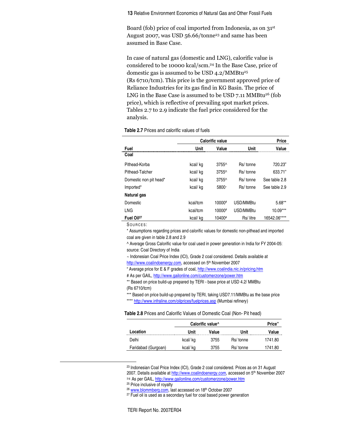**13** Relative Environment Economics of Natural Gas and Other Fossil Fuels

Board (fob) price of coal imported from Indonesia, as on 31<sup>st</sup> August 2007, was USD 56.66/tonne<sup>23</sup> and same has been assumed in Base Case.

In case of natural gas (domestic and LNG), calorific value is considered to be 10000 kcal/scm.<sup>24</sup> In the Base Case, price of domestic gas is assumed to be USD 4.2/MMBtu25  $(Rs 6710 / tcm)$ . This price is the government approved price of Reliance Industries for its gas find in KG Basin. The price of LNG in the Base Case is assumed to be USD 7.11 MMBtu<sup>26</sup> (fob price), which is reflective of prevailing spot market prices. Tables 2.7 to 2.9 indicate the fuel price considered for the analysis.

#### **Table 2.7** Prices and calorific values of fuels

|                        | Calorific value |        |           | Price         |
|------------------------|-----------------|--------|-----------|---------------|
| Fuel                   | Unit            | Value  | Unit      | Value         |
| Coal                   |                 |        |           |               |
| Pithead-Korba          | kcal/kg         | 3755^  | Rs/tonne  | 720.23"       |
| Pithead-Talcher        | kcal/kg         | 3755^  | Rs/tonne  | 633.71"       |
| Domestic non pit head* | kcal/kg         | 3755^  | Rs/tonne  | See table 2.8 |
| Imported*              | kcal/kg         | 5800~  | Rs/tonne  | See table 2.9 |
| Natural gas            |                 |        |           |               |
| Domestic               | kcal/tcm        | 10000# | USD/MMBtu | $5.68**$      |
| <b>LNG</b>             | kcal/tcm        | 10000# | USD/MMBtu | $10.09***$    |
| Fuel Oil <sup>27</sup> | kcal/kg         | 10400# | Rs/litre  | 16542.06****  |

SOURCES:

\* Assumptions regarding prices and calorific values for domestic non-pithead and imported coal are given in table 2.8 and 2.9

^ Average Gross Calorific value for coal used in power generation in India for FY 2004-05: source: Coal Directory of India

~ Indonesian Coal Price Index (ICI), Grade 2 coal considered. Details available at http://www.coalindoenergy.com, accessed on 5<sup>th</sup> November 2007

" Average price for E & F grades of coal, http://www.coalindia.nic.in/pricing.htm

# As per GAIL, http://www.gailonline.com/customerzone/power.htm

\*\* Based on price build-up prepared by TERI - base price at USD 4.2/ MMBtu (Rs 6710/tcm)

\*\*\* Based on price build-up prepared by TERI, taking USD7.11/MMBtu as the base price

\*\*\*\* http://www.infraline.com/oilprices/fuelprices.asp (Mumbai refinery)

**Table 2.8** Prices and Calorific Values of Domestic Coal (Non- Pit head)

|                     | Calorific value <sup>^</sup> |           |           |         |  |
|---------------------|------------------------------|-----------|-----------|---------|--|
| Location            | Unit                         | Value<br> | Unit      | Value   |  |
| Delhi               | kcal/kg                      | 3755      | Rs/ tonne | 1741.80 |  |
| Faridabad (Gurgoan) | kcal/kq                      | 3755      | Rs/ tonne | 1741.80 |  |

<sup>23</sup> Indonesian Coal Price Index (ICI), Grade 2 coal considered. Prices as on 31 August 2007. Details available at *http://www.coalindoenergy.com,* accessed on 5<sup>th</sup> November 2007 <sup>24</sup> As per GAIL, http://www.gailonline.com/customerzone/power.htm

<sup>25</sup> Price inclusive of royalty

<sup>26</sup> www.blommberg.com, last accessed on 18th October 2007 <sup>27</sup> Fuel oil is used as a secondary fuel for coal based power generation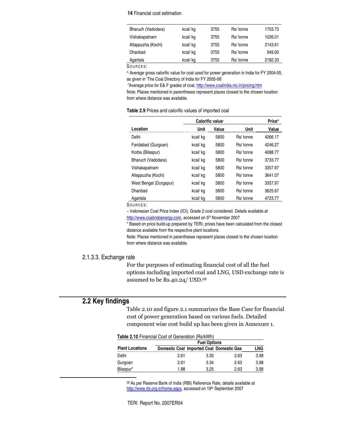#### **14** Financial cost estimation

| Bharuch (Vadodara) | kcal/kq | 3755 | Rs/ tonne | 1703.73 |
|--------------------|---------|------|-----------|---------|
| Vishakapatnam      | kcal/kg | 3755 | Rs/ tonne | 1026.01 |
| Allappuzha (Kochi) | kcal/kg | 3755 | Rs/ tonne | 2143.61 |
| Dhanbad            | kcal/kq | 3755 | Rs/ tonne | 949.00  |
| Agartala           | kcal/kg | 3755 | Rs/ tonne | 2182.33 |

SOURCES:

^ Average gross calorific value for coal used for power generation in India for FY 2004-05, as given in 'The Coal Directory of India for FY 2005-06'

"Average price for E& F grades of coal, http://www.coalindia.nic.in/pricing.htm

Note: Places mentioned in parentheses represent places closest to the chosen location from where distance was available.

| Table 2.9 Prices and calorific values of imported coal |  |  |
|--------------------------------------------------------|--|--|
|--------------------------------------------------------|--|--|

|                        | Calorific value~ | Price* |           |         |
|------------------------|------------------|--------|-----------|---------|
| Location               | Unit             | Value  | Unit      | Value   |
| Delhi                  | kcal/kg          | 5800   | Rs/tonne  | 4266.17 |
| Faridabad (Gurgoan)    | kcal/kg          | 5800   | Rs/tonne  | 4246.27 |
| Korba (Bilaspur)       | kcal/kg          | 5800   | Rs/tonne  | 4088.77 |
| Bharuch (Vadodara)     | kcal/kg          | 5800   | Rs/tonne  | 3733.77 |
| Vishakapatnam          | kcal/kg          | 5800   | Rs/tonne  | 3357.97 |
| Allappuzha (Kochi)     | kcal/kg          | 5800   | Rs/tonne  | 3641.07 |
| West Bengal (Durgapur) | kcal/kg          | 5800   | Rs/tonne  | 3357.97 |
| Dhanbad                | kcal/kg          | 5800   | Rs/tonne  | 3625.67 |
| Agartala               | kcal/kg          | 5800   | Rs/ tonne | 4723.77 |

SOURCES:

~ Indonesian Coal Price Index (ICI), Grade 2 coal considered. Details available at

http://www.coalindoenergy.com, accessed on 5<sup>th</sup> November 2007

\* Based on price build-up prepared by TERI, prices have been calculated from the closest distance available from the respective plant locations.

Note: Places mentioned in parentheses represent places closest to the chosen location from where distance was available.

#### 2.1.3.3. Exchange rate

For the purposes of estimating financial cost of all the fuel options including imported coal and LNG, USD exchange rate is assumed to be Rs.40.24/ USD.<sup>28</sup>

# **2.2 Key findings**

Table 2.10 and figure 2.1 summarizes the Base Case for financial cost of power generation based on various fuels. Detailed component wise cost build up has been given in Annexure 1.

| <b>Table 2.10 Financial Cost of Generation (Rs/kWh)</b> |                     |                                                 |      |      |
|---------------------------------------------------------|---------------------|-------------------------------------------------|------|------|
|                                                         | <b>Fuel Options</b> |                                                 |      |      |
| <b>Plant Locations</b>                                  |                     | <b>Domestic Coal Imported Coal Domestic Gas</b> |      | LNG  |
| Delhi                                                   | 2.61                | 3.35                                            | 2.63 | 3.98 |
| Gurgoan                                                 | 2.61                | 3.34                                            | 2.63 | 3.98 |
| Bilaspur*                                               | 1.88                | 3.25                                            | 2.63 | 3.98 |

<sup>28</sup> As per Reserve Bank of India (RBI) Reference Rate, details available at http://www.rbi.org.in/home.aspx, accessed on 19th September 2007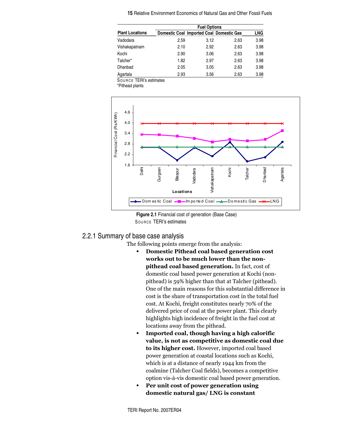|                        | <b>Fuel Options</b> |                                                 |      |      |
|------------------------|---------------------|-------------------------------------------------|------|------|
| <b>Plant Locations</b> |                     | <b>Domestic Coal Imported Coal Domestic Gas</b> |      | LNG  |
| Vadodara               | 2.59                | 3.12                                            | 2.63 | 3.98 |
| Vishakapatnam          | 2.10                | 2.92                                            | 2.63 | 3.98 |
| Kochi                  | 2.90                | 3.06                                            | 2.63 | 3.98 |
| Talcher*               | 1.82                | 2.97                                            | 2.63 | 3.98 |
| Dhanbad                | 2.05                | 3.05                                            | 2.63 | 3.98 |
| Agartala               | 2.93                | 3.56                                            | 2.63 | 3.98 |

SOUR CE TERI's estimates

\*Pithead plants





# 2.2.1 Summary of base case analysis

The following points emerge from the analysis:

- Domestic Pithead coal based generation cost works out to be much lower than the non**pithead coal based generation.** In fact, cost of domestic coal based power generation at Kochi (nonpithead) is 59% higher than that at Talcher (pithead). One of the main reasons for this substantial difference in cost is the share of transportation cost in the total fuel cost. At Kochi, freight constitutes nearly 70% of the delivered price of coal at the power plant. This clearly highlights high incidence of freight in the fuel cost at locations away from the pithead.
- " Imported coal, though having a high calorific value, is not as competitive as domestic coal due **to its higher cost.** However, imported coal based power generation at coastal locations such as Kochi, which is at a distance of nearly 1944 km from the coalmine (Talcher Coal fields), becomes a competitive option vis-à-vis domestic coal based power generation.
- Per unit cost of power generation using domestic natural gas/ LNG is constant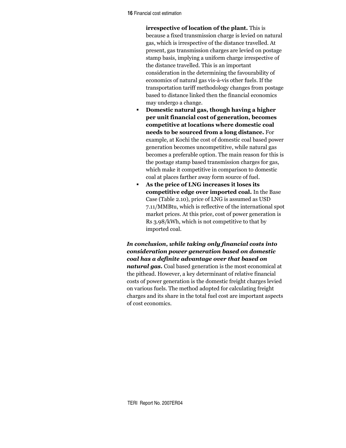**16 Financial cost estimation** 

irrespective of location of the plant. This is because a fixed transmission charge is levied on natural gas, which is irrespective of the distance travelled. At present, gas transmission charges are levied on postage stamp basis, implying a uniform charge irrespective of the distance travelled. This is an important consideration in the determining the favourability of economics of natural gas vis-à-vis other fuels. If the transportation tariff methodology changes from postage based to distance linked then the financial economics may undergo a change.

- $\blacksquare$ Domestic natural gas, though having a higher per unit financial cost of generation, becomes competitive at locations where domestic coal needs to be sourced from a long distance. For example, at Kochi the cost of domestic coal based power generation becomes uncompetitive, while natural gas becomes a preferable option. The main reason for this is the postage stamp based transmission charges for gas, which make it competitive in comparison to domestic coal at places farther away form source of fuel.
- As the price of LNG increases it loses its competitive edge over imported coal. In the Base Case (Table 2.10), price of LNG is assumed as USD 7.11/MMBtu, which is reflective of the international spot market prices. At this price, cost of power generation is Rs 3.98/kWh, which is not competitive to that by imported coal.

In conclusion, while taking only financial costs into consideration power generation based on domestic coal has a definite advantage over that based on **natural gas.** Coal based generation is the most economical at the pithead. However, a key determinant of relative financial costs of power generation is the domestic freight charges levied on various fuels. The method adopted for calculating freight charges and its share in the total fuel cost are important aspects of cost economics.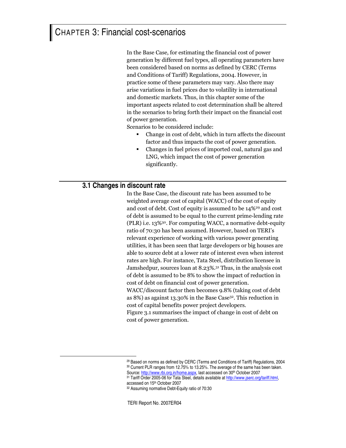# CHAPTER 3: Financial cost-scenarios

In the Base Case, for estimating the financial cost of power generation by different fuel types, all operating parameters have been considered based on norms as defined by CERC (Terms and Conditions of Tariff) Regulations, 2004. However, in practice some of these parameters may vary. Also there may arise variations in fuel prices due to volatility in international and domestic markets. Thus, in this chapter some of the important aspects related to cost determination shall be altered in the scenarios to bring forth their impact on the financial cost of power generation.

Scenarios to be considered include:

- Change in cost of debt, which in turn affects the discount factor and thus impacts the cost of power generation.
- Changes in fuel prices of imported coal, natural gas and LNG, which impact the cost of power generation significantly.

# **3.1 Changes in discount rate**

In the Base Case, the discount rate has been assumed to be weighted average cost of capital (WACC) of the cost of equity and cost of debt. Cost of equity is assumed to be 14%<sup>29</sup> and cost of debt is assumed to be equal to the current prime-lending rate (PLR) i.e. 13%<sup>30</sup>. For computing WACC, a normative debt-equity ratio of 70:30 has been assumed. However, based on TERI's relevant experience of working with various power generating utilities, it has been seen that large developers or big houses are able to source debt at a lower rate of interest even when interest rates are high. For instance, Tata Steel, distribution licensee in Jamshedpur, sources loan at 8.23%.<sup>31</sup> Thus, in the analysis cost of debt is assumed to be 8% to show the impact of reduction in cost of debt on financial cost of power generation.

WACC/discount factor then becomes 9.8% (taking cost of debt as 8%) as against 13.30% in the Base Case $^{32}$ . This reduction in cost of capital benefits power project developers.

Figure 3.1 summarises the impact of change in cost of debt on cost of power generation.

<sup>29</sup> Based on norms as defined by CERC (Terms and Conditions of Tariff) Regulations, 2004 <sup>30</sup> Current PLR ranges from 12.75% to 13.25%. The average of the same has been taken. Source: http://www.rbi.org.in/home.aspx, last accessed on 30<sup>th</sup> October 2007

<sup>31</sup> Tariff Order 2005-06 for Tata Steel, details available at http://www.jserc.org/tariff.html, accessed on 15<sup>th</sup> October 2007

<sup>32</sup> Assuming normative Debt-Equity ratio of 70:30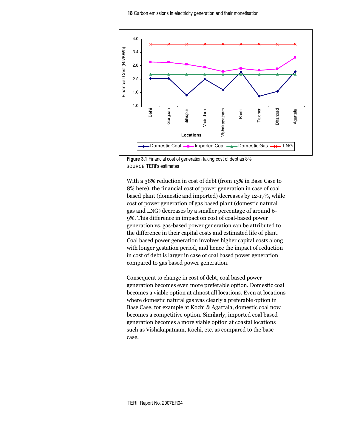

**Figure 3.1** Financial cost of generation taking cost of debt as 8% SOURCE TERI's estimates

With a 38% reduction in cost of debt (from 13% in Base Case to 8% here), the financial cost of power generation in case of coal based plant (domestic and imported) decreases by 12-17%, while cost of power generation of gas based plant (domestic natural gas and LNG) decreases by a smaller percentage of around 6-9%. This difference in impact on cost of coal-based power generation vs. gas-based power generation can be attributed to the difference in their capital costs and estimated life of plant. Coal based power generation involves higher capital costs along with longer gestation period, and hence the impact of reduction in cost of debt is larger in case of coal based power generation compared to gas based power generation.

Consequent to change in cost of debt, coal based power generation becomes even more preferable option. Domestic coal becomes a viable option at almost all locations. Even at locations where domestic natural gas was clearly a preferable option in Base Case, for example at Kochi & Agartala, domestic coal now becomes a competitive option. Similarly, imported coal based generation becomes a more viable option at coastal locations such as Vishakapatnam, Kochi, etc. as compared to the base case.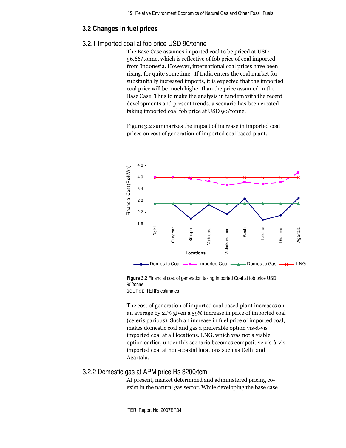# **3.2 Changes in fuel prices**

# 3.2.1 Imported coal at fob price USD 90/tonne

The Base Case assumes imported coal to be priced at USD 56.66/tonne, which is reflective of fob price of coal imported from Indonesia. However, international coal prices have been rising, for quite sometime. If India enters the coal market for substantially increased imports, it is expected that the imported coal price will be much higher than the price assumed in the Base Case. Thus to make the analysis in tandem with the recent developments and present trends, a scenario has been created taking imported coal fob price at USD 90/tonne.

Figure 3.2 summarizes the impact of increase in imported coal prices on cost of generation of imported coal based plant.



**Figure 3.2** Financial cost of generation taking Imported Coal at fob price USD 90/tonne

SOURCE TERI's estimates

The cost of generation of imported coal based plant increases on an average by 21% given a 59% increase in price of imported coal (ceteris paribus). Such an increase in fuel price of imported coal, makes domestic coal and gas a preferable option vis-à-vis imported coal at all locations. LNG, which was not a viable option earlier, under this scenario becomes competitive vis-à-vis imported coal at non-coastal locations such as Delhi and Agartala.

### 3.2.2 Domestic gas at APM price Rs 3200/tcm

At present, market determined and administered pricing coexist in the natural gas sector. While developing the base case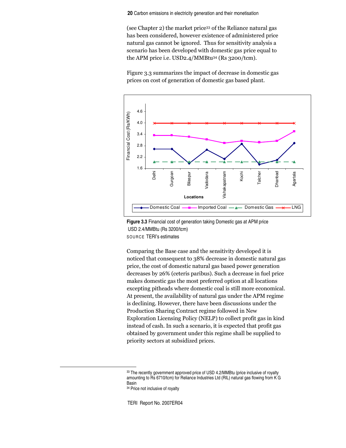**20** Carbon emissions in electricity generation and their monetisation

(see Chapter 2) the market price<sup>33</sup> of the Reliance natural gas has been considered, however existence of administered price natural gas cannot be ignored. Thus for sensitivity analysis a scenario has been developed with domestic gas price equal to the APM price i.e. USD2.4/MMBtu34 (Rs 3200/tcm).

Figure 3.3 summarizes the impact of decrease in domestic gas prices on cost of generation of domestic gas based plant.





Comparing the Base case and the sensitivity developed it is noticed that consequent to 38% decrease in domestic natural gas price, the cost of domestic natural gas based power generation decreases by 26% (ceteris paribus). Such a decrease in fuel price makes domestic gas the most preferred option at all locations excepting pitheads where domestic coal is still more economical. At present, the availability of natural gas under the APM regime is declining. However, there have been discussions under the Production Sharing Contract regime followed in New Exploration Licensing Policy (NELP) to collect profit gas in kind instead of cash. In such a scenario, it is expected that profit gas obtained by government under this regime shall be supplied to priority sectors at subsidized prices.

<sup>33</sup> The recently government approved price of USD 4.2/MMBtu (price inclusive of royalty amounting to Rs 6710/tcm) for Reliance Industries Ltd (RIL) natural gas flowing from K G Basin <sup>34</sup> Price not inclusive of royalty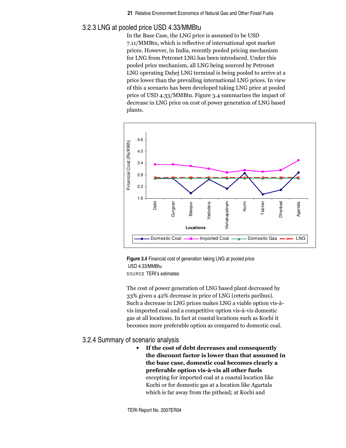## 3.2.3 LNG at pooled price USD 4.33/MMBtu

In the Base Case, the LNG price is assumed to be USD 7.11/MMBtu, which is reflective of international spot market prices. However, in India, recently pooled pricing mechanism for LNG from Petronet LNG has been introduced. Under this pooled price mechanism, all LNG being sourced by Petronet LNG operating Dahej LNG terminal is being pooled to arrive at a price lower than the prevailing international LNG prices. In view of this a scenario has been developed taking LNG price at pooled price of USD 4.33/MMBtu. Figure 3.4 summarizes the impact of decrease in LNG price on cost of power generation of LNG based plants.





The cost of power generation of LNG based plant decreased by 33% given a 42% decrease in price of LNG (ceteris paribus). Such a decrease in LNG prices makes LNG a viable option vis-àvis imported coal and a competitive option vis-à-vis domestic gas at all locations. In fact at coastal locations such as Kochi it becomes more preferable option as compared to domestic coal.

### 3.2.4 Summary of scenario analysis

• If the cost of debt decreases and consequently the discount factor is lower than that assumed in the base case, domestic coal becomes clearly a preferable option vis-à-vis all other fuels excepting for imported coal at a coastal location like Kochi or for domestic gas at a location like Agartala which is far away from the pithead; at Kochi and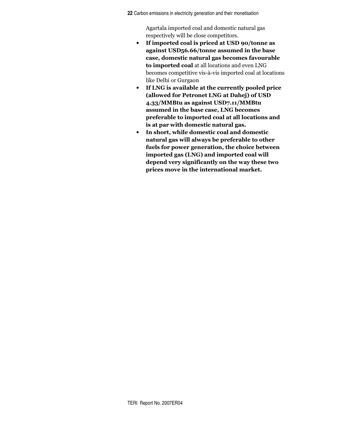**22** Carbon emissions in electricity generation and their monetisation

Agartala imported coal and domestic natural gas respectively will be close competitors.

- If imported coal is priced at USD 90/tonne as against USD56.66/tonne assumed in the base case, domestic natural gas becomes favourable to imported coal at all locations and even LNG becomes competitive vis-à-vis imported coal at locations like Delhi or Gurgaon
- If LNG is available at the currently pooled price (allowed for Petronet LNG at Dahej) of USD 4.33/MMBtu as against USD7.11/MMBtu assumed in the base case, LNG becomes preferable to imported coal at all locations and is at par with domestic natural gas.
- In short, while domestic coal and domestic natural gas will always be preferable to other fuels for power generation, the choice between imported gas (LNG) and imported coal will depend very significantly on the way these two prices move in the international market.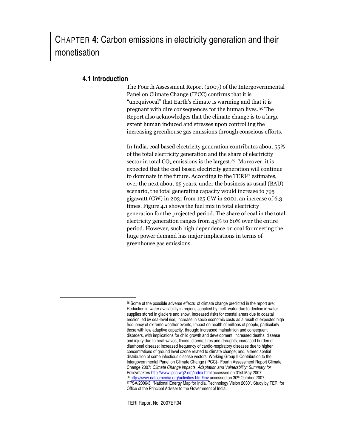CHAPTER **4**: Carbon emissions in electricity generation and their monetisation

# **4.1 Introduction**

The Fourth Assessment Report (2007) of the Intergovernmental Panel on Climate Change (IPCC) confirms that it is "unequivocal" that Earth's climate is warming and that it is pregnant with dire consequences for the human lives. 35 The Report also acknowledges that the climate change is to a large extent human induced and stresses upon controlling the increasing greenhouse gas emissions through conscious efforts.

In India, coal based electricity generation contributes about 55% of the total electricity generation and the share of electricity sector in total  $CO<sub>2</sub>$  emissions is the largest.<sup>36</sup> Moreover, it is expected that the coal based electricity generation will continue to dominate in the future. According to the TERI37 estimates, over the next about 25 years, under the business as usual (BAU) scenario, the total generating capacity would increase to 795 gigawatt (GW) in 2031 from 125 GW in 2001, an increase of 6.3  $\,$ times. Figure 4.1 shows the fuel mix in total electricity generation for the projected period. The share of coal in the total electricity generation ranges from 45% to 60% over the entire period. However, such high dependence on coal for meeting the huge power demand has major implications in terms of greenhouse gas emissions.

<sup>35</sup> Some of the possible adverse effects of climate change predicted in the report are: Reduction in water availability in regions supplied by melt–water due to decline in water supplies stored in glaciers and snow, Increased risks for coastal areas due to coastal erosion led by sea-level rise, Increase in socio economic costs as a result of expected high frequency of extreme weather events, Impact on health of millions of people, particularly those with low adaptive capacity, through: increased malnutrition and consequent disorders, with implications for child growth and development; increased deaths, disease and injury due to heat waves, floods, storms, fires and droughts; increased burden of diarrhoeal disease; increased frequency of cardio-respiratory diseases due to higher concentrations of ground level ozone related to climate change; and, altered spatial distribution of some infectious disease vectors. Working Group II Contribution to the Intergovernmental Panel on Climate Change (IPCC)– Fourth Assessment Report Climate Change 2007: *Climate Change Impacts, Adaptation and Vulnerability: Summary for* Policymakers http://www.ipcc-wg2.org/index.html accessed on 31st May 2007 <sup>36</sup> http://www.natcomindia.org/activities.htm#inv accessed on 30<sup>th</sup> October 2007 37PSA/2006/3, "National Energy Map for India, Technology Vision 2030", Study by TERI for Office of the Principal Adviser to the Government of India.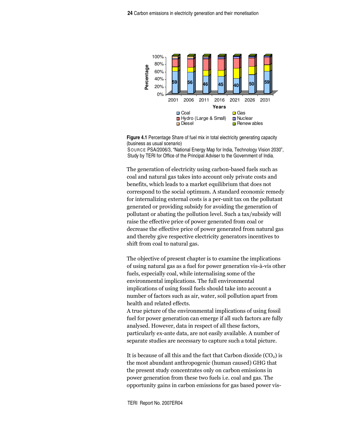

**Figure 4.1** Percentage Share of fuel mix in total electricity generating capacity (business as usual scenario)

SOURCE PSA/2006/3, "National Energy Map for India, Technology Vision 2030", Study by TERI for Office of the Principal Adviser to the Government of India.

The generation of electricity using carbon-based fuels such as coal and natural gas takes into account only private costs and benefits, which leads to a market equilibrium that does not correspond to the social optimum. A standard economic remedy for internalizing external costs is a per-unit tax on the pollutant generated or providing subsidy for avoiding the generation of pollutant or abating the pollution level. Such a tax/subsidy will raise the effective price of power generated from coal or decrease the effective price of power generated from natural gas and thereby give respective electricity generators incentives to shift from coal to natural gas.

The objective of present chapter is to examine the implications of using natural gas as a fuel for power generation vis-à-vis other fuels, especially coal, while internalising some of the environmental implications. The full environmental implications of using fossil fuels should take into account a number of factors such as air, water, soil pollution apart from health and related effects.

A true picture of the environmental implications of using fossil fuel for power generation can emerge if all such factors are fully analysed. However, data in respect of all these factors, particularly ex-ante data, are not easily available. A number of separate studies are necessary to capture such a total picture.

It is because of all this and the fact that Carbon dioxide  $(CO<sub>2</sub>)$  is the most abundant anthropogenic (human caused) GHG that the present study concentrates only on carbon emissions in power generation from these two fuels i.e. coal and gas. The opportunity gains in carbon emissions for gas based power vis-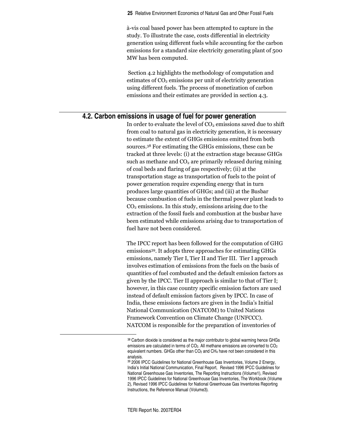à-vis coal based power has been attempted to capture in the study. To illustrate the case, costs differential in electricity generation using different fuels while accounting for the carbon emissions for a standard size electricity generating plant of 500 MW has been computed.

Section 4.2 highlights the methodology of computation and estimates of CO<sub>2</sub> emissions per unit of electricity generation using different fuels. The process of monetization of carbon emissions and their estimates are provided in section 4.3.

# **4.2. Carbon emissions in usage of fuel for power generation**

In order to evaluate the level of  $\mathrm{CO}_2$  emissions saved due to shift from coal to natural gas in electricity generation, it is necessary to estimate the extent of GHGs emissions emitted from both sources.<sup>38</sup> For estimating the GHGs emissions, these can be tracked at three levels: (i) at the extraction stage because GHGs such as methane and  $\rm CO_2$  are primarily released during mining of coal beds and flaring of gas respectively; (ii) at the transportation stage as transportation of fuels to the point of power generation require expending energy that in turn produces large quantities of GHGs; and (iii) at the Busbar because combustion of fuels in the thermal power plant leads to  $\mathrm{CO}_2$  emissions. In this study, emissions arising due to the extraction of the fossil fuels and combustion at the busbar have been estimated while emissions arising due to transportation of fuel have not been considered.

The IPCC report has been followed for the computation of GHG emissions<sup>39</sup>. It adopts three approaches for estimating GHGs emissions, namely Tier I, Tier II and Tier III. Tier I approach involves estimation of emissions from the fuels on the basis of quantities of fuel combusted and the default emission factors as given by the IPCC. Tier II approach is similar to that of Tier I; however, in this case country specific emission factors are used instead of default emission factors given by IPCC. In case of India, these emissions factors are given in the India's Initial National Communication (NATCOM) to United Nations Framework Convention on Climate Change (UNFCCC). NATCOM is responsible for the preparation of inventories of

<sup>38</sup> Carbon dioxide is considered as the major contributor to global warming hence GHGs emissions are calculated in terms of CO<sub>2</sub>. All methane emissions are converted to CO<sub>2</sub> equivalent numbers. GHGs other than CO<sub>2</sub> and CH<sub>4</sub> have not been considered in this analysis.

<sup>39</sup> 2006 IPCC Guidelines for National Greenhouse Gas Inventories, Volume 2 Energy, India's Initial National Communication, Final Report, Revised 1996 IPCC Guidelines for National Greenhouse Gas Inventories, The Reporting Instructions (Volume1), Revised 1996 IPCC Guidelines for National Greenhouse Gas Inventories, The Workbook (Volume 2), Revised 1996 IPCC Guidelines for National Greenhouse Gas Inventories Reporting Instructions, the Reference Manual (Volume3).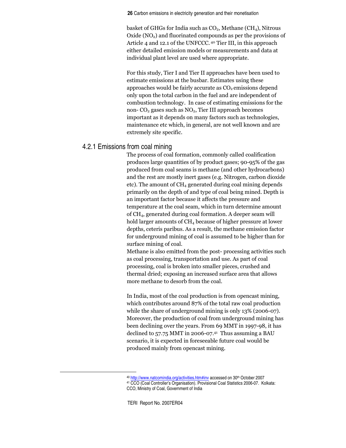**26** Carbon emissions in electricity generation and their monetisation

basket of GHGs for India such as  $CO<sub>2</sub>$ , Methane (CH<sub>4</sub>), Nitrous Oxide (NO<sub>2</sub>) and fluorinated compounds as per the provisions of Article 4 and 12.1 of the UNFCCC.<sup>40</sup> Tier III, in this approach either detailed emission models or measurements and data at individual plant level are used where appropriate.

For this study, Tier I and Tier II approaches have been used to estimate emissions at the busbar. Estimates using these approaches would be fairly accurate as  $\mathrm{CO}_2$  emissions depend only upon the total carbon in the fuel and are independent of combustion technology. In case of estimating emissions for the non-  $\mathrm{CO}_2$  gases such as  $\mathrm{NO}_2,$  Tier III approach becomes important as it depends on many factors such as technologies, maintenance etc which, in general, are not well known and are extremely site specific.

# 4.2.1 Emissions from coal mining

The process of coal formation, commonly called coalification produces large quantities of by product gases; 90-95% of the gas produced from coal seams is methane (and other hydrocarbons) and the rest are mostly inert gases (e.g. Nitrogen, carbon dioxide etc). The amount of  $\rm CH_{4}$  generated during coal mining depends primarily on the depth of and type of coal being mined. Depth is an important factor because it affects the pressure and temperature at the coal seam, which in turn determine amount of  $\rm CH_4,$  generated during coal formation. A deeper seam will hold larger amounts of  $\rm CH_{4}$  because of higher pressure at lower depths, ceteris paribus. As a result, the methane emission factor for underground mining of coal is assumed to be higher than for surface mining of coal.

Methane is also emitted from the post- processing activities such as coal processing, transportation and use. As part of coal processing, coal is broken into smaller pieces, crushed and thermal dried; exposing an increased surface area that allows more methane to desorb from the coal.

In India, most of the coal production is from opencast mining, which contributes around 87% of the total raw coal production while the share of underground mining is only 13% (2006-07). Moreover, the production of coal from underground mining has been declining over the years. From 69 MMT in 1997-98, it has declined to  $57.75$  MMT in 2006-07. $41$  Thus assuming a BAU scenario, it is expected in foreseeable future coal would be produced mainly from opencast mining.

<sup>&</sup>lt;sup>40</sup> http://www.natcomindia.org/activities.htm#inv accessed on 30<sup>th</sup> October 2007 <sup>41</sup> CCO (Coal Controller's Organisation). Provisional Coal Statistics 2006-07. Kolkata: CCO, Ministry of Coal, Government of India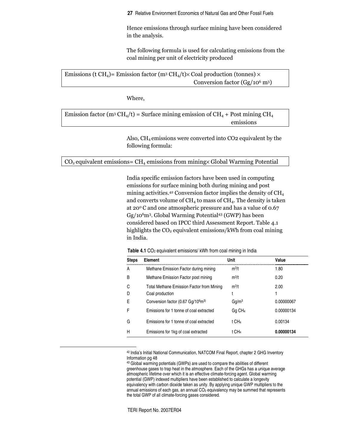Hence emissions through surface mining have been considered in the analysis.

The following formula is used for calculating emissions from the coal mining per unit of electricity produced

Emissions (t CH<sub>4</sub>)= Emission factor (m<sup>3</sup> CH<sub>4</sub>/t)× Coal production (tonnes) × Conversion factor  $(Gg/10^6 \text{ m}^3)$ 

Where,

Emission factor (m<sup>3</sup> CH<sub>4</sub>/t) = Surface mining emission of CH<sub>4</sub> + Post mining CH<sub>4</sub> emissions

> Also,  $\rm CH_{4}$  emissions were converted into CO2 equivalent by the following formula:

 $\rm CO_2$  equivalent emissions=  $\rm CH_4$  emissions from mining $\times$  Global Warming Potential

India specific emission factors have been used in computing emissions for surface mining both during mining and post mining activities.<sup>42</sup> Conversion factor implies the density of  $\rm CH_{4}$ and converts volume of  $\rm CH_{4}$  to mass of  $\rm CH_{4}$ . The density is taken at 20 $^{\rm o}$ C and one atmospheric pressure and has a value of 0.67  $\text{Gg}/\text{10}^6$ m<sup>3</sup>. Global Warming Potential<sup>43</sup> (GWP) has been considered based on IPCC third Assessment Report. Table 4.1 highlights the  $\mathrm{CO}_2$  equivalent emissions/kWh from coal mining in India.

**Table 4.1** CO<sub>2</sub> equivalent emissions/ kWh from coal mining in India

| <b>Steps</b> | Element                                                    | Unit               | Value      |
|--------------|------------------------------------------------------------|--------------------|------------|
| A            | Methane Emission Factor during mining                      | $m^3/t$            | 1.80       |
| B            | Methane Emission Factor post mining                        | $m^3/t$            | 0.20       |
| C            | Total Methane Emission Factor from Mining                  | $m^3/t$            | 2.00       |
| D            | Coal production                                            |                    |            |
| F            | Conversion factor (0.67 Gg/10 <sup>6</sup> m <sup>3)</sup> | $Gq/m^3$           | 0.00000067 |
| F            | Emissions for 1 tonne of coal extracted                    | Gg CH <sub>4</sub> | 0.00000134 |
| G            | Emissions for 1 tonne of coal extracted                    | t CH <sub>4</sub>  | 0.00134    |
| Н            | Emissions for 1kg of coal extracted                        | t CH <sub>4</sub>  | 0.00000134 |

<sup>42</sup> India's Initial National Communication, NATCOM Final Report, chapter 2 GHG Inventory Information pg 48

<sup>&</sup>lt;sup>43</sup> Global warming potentials (GWPs) are used to compare the abilities of different greenhouse gases to trap heat in the atmosphere. Each of the GHGs has a unique average atmospheric lifetime over which it is an effective climate-forcing agent. Global warming potential (GWP) indexed multipliers have been established to calculate a longevity equivalency with carbon dioxide taken as unity. By applying unique GWP multipliers to the annual emissions of each gas, an annual  $CO<sub>2</sub>$  equivalency may be summed that represents the total GWP of all climate-forcing gases considered.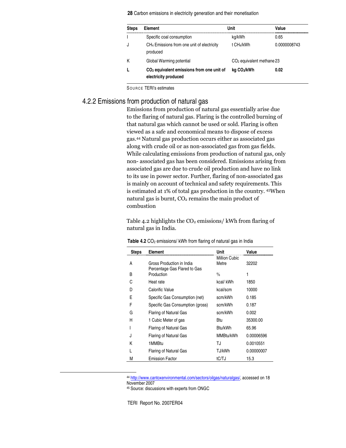**28** Carbon emissions in electricity generation and their monetisation

| <b>Steps</b> | Element                                                                       | Unit                        | Value        |
|--------------|-------------------------------------------------------------------------------|-----------------------------|--------------|
|              | Specific coal consumption                                                     | kg/kWh                      | 0.65         |
|              | CH <sub>4</sub> Emissions from one unit of electricity<br>produced            | t CH <sub>4</sub> /kWh      | 0.0000008743 |
|              | Global Warming potential                                                      | $CO2$ equivalent methane 23 |              |
|              | CO <sub>2</sub> equivalent emissions from one unit of<br>electricity produced | kg CO2/kWh                  | 0.02         |

SOUR CE TERI's estimates

# 4.2.2 Emissions from production of natural gas

Emissions from production of natural gas essentially arise due to the flaring of natural gas. Flaring is the controlled burning of that natural gas which cannot be used or sold. Flaring is often viewed as a safe and economical means to dispose of excess gas.44 Natural gas production occurs either as associated gas along with crude oil or as non-associated gas from gas fields. While calculating emissions from production of natural gas, only non- associated gas has been considered. Emissions arising from associated gas are due to crude oil production and have no link to its use in power sector. Further, flaring of non-associated gas is mainly on account of technical and safety requirements. This is estimated at 1% of total gas production in the country. 45When natural gas is burnt,  $\mathrm{CO}_2$  remains the main product of combustion

Table 4.2 highlights the  $\rm CO_2$  emissions/ kWh from flaring of natural gas in India.

| <b>Steps</b> | Element                                                   | Unit                   | Value      |
|--------------|-----------------------------------------------------------|------------------------|------------|
| A            | Gross Production in India<br>Percentage Gas Flared to Gas | Million Cubic<br>Metre | 32202      |
| B            | Production                                                | %                      | 1          |
| C            | Heat rate                                                 | kcal/kWh               | 1850       |
| D            | Calorific Value                                           | kcal/scm               | 10000      |
| F            | Specific Gas Consumption (net)                            | scm/kWh                | 0.185      |
| F            | Specific Gas Consumption (gross)                          | scm/kWh                | 0.187      |
| G            | Flaring of Natural Gas                                    | scm/kWh                | 0.002      |
| Н            | 1 Cubic Meter of gas                                      | Btu                    | 35300.00   |
|              | Flaring of Natural Gas                                    | Btu/kWh                | 65.96      |
| J            | Flaring of Natural Gas                                    | MMBtu/kWh              | 0.00006596 |
| K            | 1MMBtu                                                    | TJ                     | 0.0010551  |
|              | Flaring of Natural Gas                                    | TJ/kWh                 | 0.00000007 |
| М            | <b>Emission Factor</b>                                    | tC/TJ                  | 15.3       |

| Table 4.2 CO <sub>2</sub> emissions/ kWh from flaring of natural gas in India |  |
|-------------------------------------------------------------------------------|--|
|-------------------------------------------------------------------------------|--|

<sup>44</sup> http://www.cantoxenvironmental.com/sectors/oilgas/naturalgas/, accessed on 18 November 2007

<sup>45</sup> Source: discussions with experts from ONGC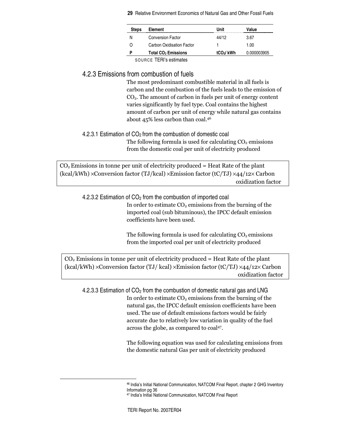| <b>Steps</b> | Element                               | Unit                  | Value       |
|--------------|---------------------------------------|-----------------------|-------------|
| N            | <b>Conversion Factor</b>              | 44/12                 | 3.67        |
|              | Carbon Oxidisation Factor             |                       | 1.00        |
|              | <b>Total CO<sub>2</sub></b> Emissions | tCO <sub>2</sub> /kWh | 0.000003905 |

SOURCE TERI's estimates

# 4.2.3 Emissions from combustion of fuels

The most predominant combustible material in all fuels is carbon and the combustion of the fuels leads to the emission of  $CO<sub>2</sub>$ . The amount of carbon in fuels per unit of energy content varies significantly by fuel type. Coal contains the highest amount of carbon per unit of energy while natural gas contains about 45% less carbon than coal.<sup>46</sup>

# 4.2.3.1 Estimation of CO<sup>2</sup> from the combustion of domestic coal

The following formula is used for calculating  $\mathrm{CO}_2$  emissions from the domestic coal per unit of electricity produced

 $\mathrm{CO}_2$  Emissions in tonne per unit of electricity produced = Heat Rate of the plant (kcal/kWh) ×Conversion factor (TJ/kcal) ×Emission factor (tC/TJ) ×44/12× Carbon oxidization factor

4.2.3.2 Estimation of  $CO<sub>2</sub>$  from the combustion of imported coal

In order to estimate  $CO<sub>2</sub>$  emissions from the burning of the imported coal (sub bituminous), the IPCC default emission coefficients have been used.

The following formula is used for calculating  $\mathrm{CO}_2$  emissions from the imported coal per unit of electricity produced

 $\mathrm{CO}_2$  Emissions in tonne per unit of electricity produced = Heat Rate of the plant (kcal/kWh)  $\times$ Conversion factor (TJ/ kcal) $\times$ Emission factor (tC/TJ)  $\times$ 44/12 $\times$ Carbon oxidization factor

4.2.3.3 Estimation of  $CO<sub>2</sub>$  from the combustion of domestic natural gas and LNG In order to estimate  $CO<sub>2</sub>$  emissions from the burning of the natural gas, the IPCC default emission coefficients have been used. The use of default emissions factors would be fairly accurate due to relatively low variation in quality of the fuel across the globe, as compared to coal<sup>47</sup>.

> The following equation was used for calculating emissions from the domestic natural Gas per unit of electricity produced

<sup>46</sup> India's Initial National Communication, NATCOM Final Report, chapter 2 GHG Inventory Information pg 36

<sup>47</sup> India's Initial National Communication, NATCOM Final Report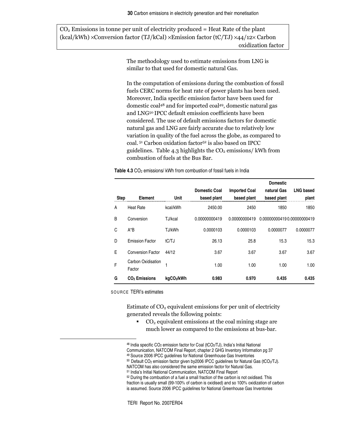$CO<sub>2</sub>$  Emissions in tonne per unit of electricity produced = Heat Rate of the plant (kcal/kWh) ×Conversion factor (TJ/kCal) ×Emission factor (tC/TJ) ×44/12× Carbon oxidization factor

> The methodology used to estimate emissions from LNG is similar to that used for domestic natural Gas.

In the computation of emissions during the combustion of fossil fuels CERC norms for heat rate of power plants has been used. Moreover, India specific emission factor have been used for domestic coal<sup>48</sup> and for imported coal<sup>49</sup>, domestic natural gas and LNG<sup>50</sup> IPCC default emission coefficients have been considered. The use of default emissions factors for domestic natural gas and LNG are fairly accurate due to relatively low variation in quality of the fuel across the globe, as compared to coal.<sup>51</sup> Carbon oxidation factor<sup>52</sup> is also based on IPCC guidelines. Table 4.3 highlights the  $\rm CO_2$  emissions/ kWh from combustion of fuels at the Bus Bar.

**Table 4.3** CO<sub>2</sub> emissions/ kWh from combustion of fossil fuels in India

|             |                              |           |                      |                      | <b>Domestic</b>            |                  |
|-------------|------------------------------|-----------|----------------------|----------------------|----------------------------|------------------|
|             |                              |           | <b>Domestic Coal</b> | <b>Imported Coal</b> | natural Gas                | <b>LNG based</b> |
| <b>Step</b> | Element                      | Unit      | based plant          | based plant          | based plant                | plant            |
| A           | <b>Heat Rate</b>             | kcal/kWh  | 2450.00              | 2450                 | 1850                       | 1850             |
| B           | Conversion                   | TJ/kcal   | 0.00000000419        | 0.00000000419        | 0.000000004190.00000000419 |                  |
| C           | $A^*B$                       | TJ/kWh    | 0.0000103            | 0.0000103            | 0.0000077                  | 0.0000077        |
| D           | <b>Emission Factor</b>       | tC/TJ     | 26.13                | 25.8                 | 15.3                       | 15.3             |
| F           | <b>Conversion Factor</b>     | 44/12     | 3.67                 | 3.67                 | 3.67                       | 3.67             |
| F           | Carbon Oxidisation<br>Factor |           | 1.00                 | 1.00                 | 1.00                       | 1.00             |
| G           | CO <sub>2</sub> Emissions    | kgCO2/kWh | 0.983                | 0.970                | 0.435                      | 0.435            |

SOURCE TERI's estimates

Estimate of  $CO<sub>2</sub>$  equivalent emissions for per unit of electricity generated reveals the following points:

 $\degree$  CO<sub>2</sub> equivalent emissions at the coal mining stage are much lower as compared to the emissions at bus-bar.

Communication, NATCOM Final Report, chapter 2 GHG Inventory Information pg 37

50 Default CO<sub>2</sub> emission factor given by2006 IPCC guidelines for Natural Gas (tCO<sub>2</sub>/TJ).

<sup>52</sup> During the combustion of a fuel a small fraction of the carbon is not oxidised. This fraction is usually small (99-100% of carbon is oxidised) and so 100% oxidization of carbon is assumed. Source 2006 IPCC guidelines for National Greenhouse Gas Inventories

<sup>&</sup>lt;sup>48</sup> India specific CO<sub>2</sub> emission factor for Coal (tCO<sub>2</sub>/TJ), India's Initial National

<sup>49</sup> Source 2006 IPCC guidelines for National Greenhouse Gas Inventories

NATCOM has also considered the same emission factor for Natural Gas.

<sup>51</sup> India's Initial National Communication, NATCOM Final Report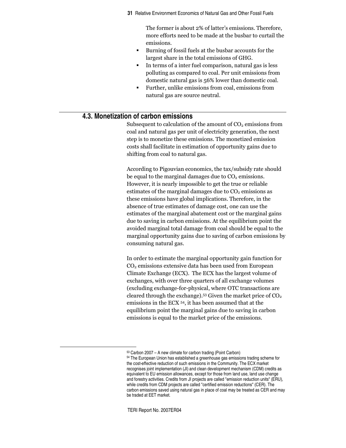The former is about 2% of latter's emissions. Therefore, more efforts need to be made at the busbar to curtail the emissions.

- Burning of fossil fuels at the busbar accounts for the largest share in the total emissions of GHG.
- In terms of a inter fuel comparison, natural gas is less polluting as compared to coal. Per unit emissions from domestic natural gas is 56% lower than domestic coal.
- **Further, unlike emissions from coal, emissions from** natural gas are source neutral.

## **4.3. Monetization of carbon emissions**

Subsequent to calculation of the amount of  $CO<sub>2</sub>$  emissions from coal and natural gas per unit of electricity generation, the next step is to monetize these emissions. The monetized emission costs shall facilitate in estimation of opportunity gains due to shifting from coal to natural gas.

According to Pigouvian economics, the tax/subsidy rate should be equal to the marginal damages due to  $CO<sub>2</sub>$  emissions. However, it is nearly impossible to get the true or reliable estimates of the marginal damages due to  $\mathrm{CO}_2$  emissions as these emissions have global implications. Therefore, in the absence of true estimates of damage cost, one can use the estimates of the marginal abatement cost or the marginal gains due to saving in carbon emissions. At the equilibrium point the avoided marginal total damage from coal should be equal to the marginal opportunity gains due to saving of carbon emissions by consuming natural gas.

In order to estimate the marginal opportunity gain function for  $\mathrm{CO}_2$  emissions extensive data has been used from European Climate Exchange (ECX). The ECX has the largest volume of exchanges, with over three quarters of all exchange volumes (excluding exchange-for-physical, where OTC transactions are cleared through the exchange).<sup>53</sup> Given the market price of  $CO<sub>2</sub>$ emissions in the ECX <sup>54</sup>, it has been assumed that at the equilibrium point the marginal gains due to saving in carbon emissions is equal to the market price of the emissions.

<sup>53</sup> Carbon 2007 – A new climate for carbon trading (Point Carbon) <sup>54</sup> The European Union has established a greenhouse gas emissions trading scheme for the cost-effective reduction of such emissions in the Community. The ECX market recognises joint implementation (JI) and clean development mechanism (CDM) credits as equivalent to EU emission allowances, except for those from land use, land use change and forestry activities. Credits from JI projects are called "emission reduction units" (ERU), while credits from CDM projects are called "certified emission reductions" (CER). The carbon emissions saved using natural gas in place of coal may be treated as CER and may be traded at EET market.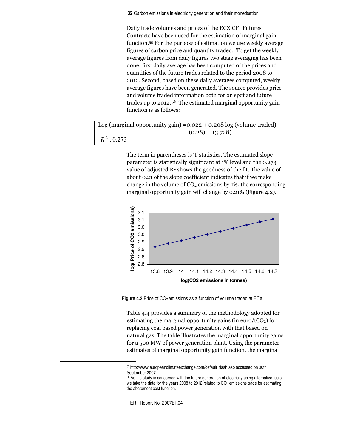**32** Carbon emissions in electricity generation and their monetisation

Daily trade volumes and prices of the ECX CFI Futures Contracts have been used for the estimation of marginal gain function.<sup>55</sup> For the purpose of estimation we use weekly average figures of carbon price and quantity traded. To get the weekly average figures from daily figures two stage averaging has been done; first daily average has been computed of the prices and quantities of the future trades related to the period 2008 to 2012. Second, based on these daily averages computed, weekly average figures have been generated. The source provides price and volume traded information both for on spot and future trades up to 2012.<sup>56</sup> The estimated marginal opportunity gain function is as follows:

 $Log (marginal opportunity gain) = 0.022 + 0.208 log (volume traded)$  $(0.28)$   $(3.728)$  $\overline{R}$ <sup>2</sup> : 0.273

> The term in parentheses is 't' statistics. The estimated slope parameter is statistically significant at 1% level and the 0.273 value of adjusted  $R^2$  shows the goodness of the fit. The value of about 0.21 of the slope coefficient indicates that if we make change in the volume of  $CO<sub>2</sub>$  emissions by 1%, the corresponding marginal opportunity gain will change by 0.21% (Figure 4.2).



**Figure 4.2** Price of CO<sub>2</sub> emissions as a function of volume traded at ECX

Table 4.4 provides a summary of the methodology adopted for estimating the marginal opportunity gains (in  $\rm euro/tCO_2$ ) for replacing coal based power generation with that based on natural gas. The table illustrates the marginal opportunity gains for a 500 MW of power generation plant. Using the parameter estimates of marginal opportunity gain function, the marginal

<sup>55</sup> http://www.europeanclimateexchange.com/default\_flash.asp accessed on 30th September 2007

<sup>56</sup> As the study is concerned with the future generation of electricity using alternative fuels, we take the data for the years 2008 to 2012 related to  $CO<sub>2</sub>$  emissions trade for estimating the abatement cost function.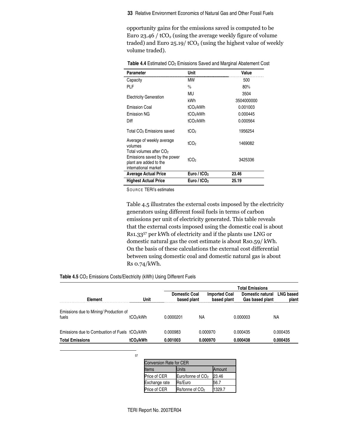opportunity gains for the emissions saved is computed to be Euro 23.46 / tCO $_{\rm 2}$  (using the average weekly figure of volume traded) and Euro  $25.19/$  tCO<sub>2</sub> (using the highest value of weekly volume traded).

| Parameter                                                                                                             | Unit                    | Value      |
|-----------------------------------------------------------------------------------------------------------------------|-------------------------|------------|
| Capacity                                                                                                              | МW                      | 500        |
| <b>PLF</b>                                                                                                            | $\frac{0}{n}$           | 80%        |
|                                                                                                                       | MU                      | 3504       |
| <b>Electricity Generation</b>                                                                                         | kWh                     | 3504000000 |
| <b>Emission Coal</b>                                                                                                  | tCO <sub>2</sub> /kWh   | 0.001003   |
| <b>Emission NG</b>                                                                                                    | tCO <sub>2</sub> /kWh   | 0.000445   |
| Diff                                                                                                                  | tCO <sub>2</sub> /kWh   | 0.000564   |
| Total CO <sub>2</sub> Emissions saved                                                                                 | tCO <sub>2</sub>        | 1956254    |
| Average of weekly average<br>volumes                                                                                  | tCO <sub>2</sub>        | 1469082    |
| Total volumes after CO <sub>2</sub><br>Emissions saved by the power<br>plant are added to the<br>international market | tCO <sub>2</sub>        | 3425336    |
| <b>Average Actual Price</b>                                                                                           | Euro / tCO <sub>2</sub> | 23.46      |
| <b>Highest Actual Price</b>                                                                                           | Euro / tCO <sub>2</sub> | 25.19      |

**Table 4.4** Estimated CO<sup>2</sup> Emissions Saved and Marginal Abatement Cost

SOUR CE TERI's estimates

Table 4.5 illustrates the external costs imposed by the electricity generators using different fossil fuels in terms of carbon emissions per unit of electricity generated. This table reveals that the external costs imposed using the domestic coal is about Rs1.33<sup>57</sup> per kWh of electricity and if the plants use LNG or domestic natural gas the cost estimate is about Rso.59/ kWh. On the basis of these calculations the external cost differential between using domestic coal and domestic natural gas is about  $Rso.74/kWh.$ 

| Element                                                    | Unit                  | <b>Domestic Coal</b><br>based plant | <b>Imported Coal</b><br>based plant | <b>Total Emissions</b><br>Domestic natural<br>Gas based plant | <b>LNG based</b><br>plant |
|------------------------------------------------------------|-----------------------|-------------------------------------|-------------------------------------|---------------------------------------------------------------|---------------------------|
| Emissions due to Mining/ Production of<br>fuels            | tCO <sub>2</sub> /kWh | 0.0000201                           | ΝA                                  | 0.000003                                                      | ΝA                        |
| Emissions due to Combustion of Fuels tCO <sub>2</sub> /kWh |                       | 0.000983                            | 0.000970                            | 0.000435                                                      | 0.000435                  |
| <b>Total Emissions</b>                                     | tCO <sub>2</sub> /kWh | 0.001003                            | 0.000970                            | 0.000438                                                      | 0.000435                  |

| ٦<br>v |
|--------|

| <b>Conversion Rate for CER</b> |                               |        |  |  |
|--------------------------------|-------------------------------|--------|--|--|
| Items                          | Units                         | Amount |  |  |
| Price of CER                   | Euro/tonne of CO <sub>2</sub> | 23.46  |  |  |
| Exchange rate                  | Rs/Euro                       | 56.7   |  |  |
| Price of CER                   | Rs/tonne of CO <sub>2</sub>   | 1329.7 |  |  |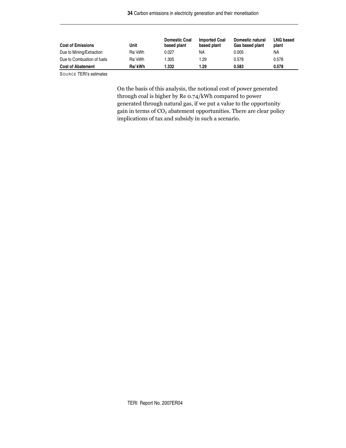| <b>Cost of Emissions</b>   | Unit   | <b>Domestic Coal</b><br>based plant | <b>Imported Coal</b><br>based plant | Domestic natural<br>Gas based plant | <b>LNG based</b><br>plant |
|----------------------------|--------|-------------------------------------|-------------------------------------|-------------------------------------|---------------------------|
| Due to Mining/Extraction   | Rs/kWh | 0.027                               | NA                                  | 0.005                               | ΝA                        |
| Due to Combustion of fuels | Rs/kWh | 1.305                               | 1.29                                | 0.578                               | 0.578                     |
| <b>Cost of Abatement</b>   | Rs/kWh | 1.332                               | l.29                                | 0.583                               | 0.578                     |

SOURCE TERI's estimates

On the basis of this analysis, the notional cost of power generated through coal is higher by Re 0.74/kWh compared to power generated through natural gas, if we put a value to the opportunity gain in terms of  $\mathrm{CO}_2$  abatement opportunities. There are clear policy implications of tax and subsidy in such a scenario.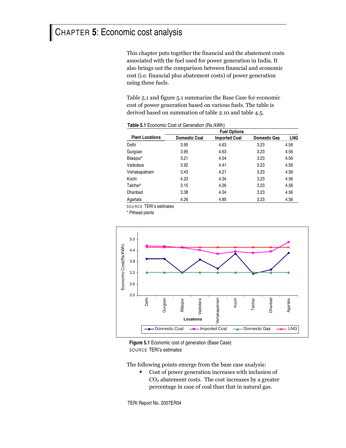# CHAPTER **5**: Economic cost analysis

This chapter puts together the financial and the abatement costs associated with the fuel used for power generation in India. It also brings out the comparison between financial and economic cost (i.e. financial plus abatement costs) of power generation using these fuels.

Table 5.1 and figure 5.1 summarize the Base Case for economic cost of power generation based on various fuels. The table is derived based on summation of table 2.10 and table 4.5.

|                        | <b>Fuel Options</b>  |                      |                     |      |  |  |  |
|------------------------|----------------------|----------------------|---------------------|------|--|--|--|
| <b>Plant Locations</b> | <b>Domestic Coal</b> | <b>Imported Coal</b> | <b>Domestic Gas</b> | . NG |  |  |  |
| Delhi                  | 3.95                 | 4.63                 | 3.23                | 4.56 |  |  |  |
| Gurgoan                | 3.95                 | 4.63                 | 3.23                | 4.56 |  |  |  |
| Bilaspur*              | 3.21                 | 4.54                 | 3.23                | 4.56 |  |  |  |
| Vadodara               | 3.92                 | 4.41                 | 3.23                | 4.56 |  |  |  |
| Vishakapatnam          | 3.43                 | 4.21                 | 3.23                | 4.56 |  |  |  |
| Kochi                  | 4.23                 | 4.34                 | 3.23                | 4.56 |  |  |  |
| Talcher*               | 3.15                 | 4.26                 | 3.23                | 4.56 |  |  |  |
| Dhanbad                | 3.38                 | 4.34                 | 3.23                | 4.56 |  |  |  |
| Agartala               | 4.26                 | 4.85                 | 3.23                | 4.56 |  |  |  |

**Table 5.1** Economic Cost of Generation (Rs./kWh)

SOU RC E TERI's estimates

\* Pithead plants



**Figure 5.1** Economic cost of generation (Base Case) SOURCE TERI's estimates

The following points emerge from the base case analysis:

• Cost of power generation increases with inclusion of  $\rm CO_2$  abatement costs. The cost increases by a greater percentage in case of coal than that in natural gas.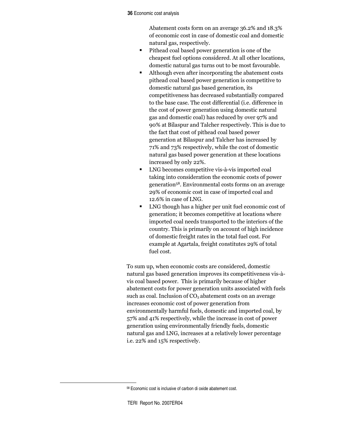#### **36** Economic cost analysis

Abatement costs form on an average 36.2% and 18.3% of economic cost in case of domestic coal and domestic natural gas, respectively.

- Pithead coal based power generation is one of the cheapest fuel options considered. At all other locations, domestic natural gas turns out to be most favourable.
- Although even after incorporating the abatement costs pithead coal based power generation is competitive to domestic natural gas based generation, its competitiveness has decreased substantially compared to the base case. The cost differential (i.e. difference in the cost of power generation using domestic natural gas and domestic coal) has reduced by over 97% and 90% at Bilaspur and Talcher respectively. This is due to the fact that cost of pithead coal based power generation at Bilaspur and Talcher has increased by 71% and 73% respectively, while the cost of domestic natural gas based power generation at these locations increased by only 22%.
- LNG becomes competitive vis-à-vis imported coal taking into consideration the economic costs of power generation<sup>58</sup>. Environmental costs forms on an average 29% of economic cost in case of imported coal and 12.6% in case of LNG.
- LNG though has a higher per unit fuel economic cost of generation; it becomes competitive at locations where imported coal needs transported to the interiors of the country. This is primarily on account of high incidence of domestic freight rates in the total fuel cost. For example at Agartala, freight constitutes 29% of total fuel cost.

To sum up, when economic costs are considered, domestic natural gas based generation improves its competitiveness vis-àvis coal based power. This is primarily because of higher abatement costs for power generation units associated with fuels such as coal. Inclusion of  $\mathrm{CO}_2$  abatement costs on an average increases economic cost of power generation from environmentally harmful fuels, domestic and imported coal, by 57% and 41% respectively, while the increase in cost of power generation using environmentally friendly fuels, domestic natural gas and LNG, increases at a relatively lower percentage i.e. 22% and 15% respectively.

<sup>58</sup> Economic cost is inclusive of carbon di oxide abatement cost.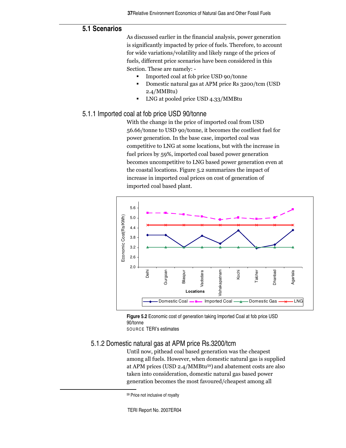# **5.1 Scenarios**

As discussed earlier in the financial analysis, power generation is significantly impacted by price of fuels. Therefore, to account for wide variations/volatility and likely range of the prices of fuels, different price scenarios have been considered in this Section. These are namely: -

- Imported coal at fob price USD 90/tonne
- Domestic natural gas at APM price Rs 3200/tcm (USD  $2.4/MM$ Btu)
- LNG at pooled price USD 4.33/MMBtu

## 5.1.1 Imported coal at fob price USD 90/tonne

With the change in the price of imported coal from USD 56.66/tonne to USD 90/tonne, it becomes the costliest fuel for power generation. In the base case, imported coal was competitive to LNG at some locations, but with the increase in fuel prices by 59%, imported coal based power generation becomes uncompetitive to LNG based power generation even at the coastal locations. Figure 5.2 summarizes the impact of increase in imported coal prices on cost of generation of imported coal based plant.



**Figure 5.2** Economic cost of generation taking Imported Coal at fob price USD 90/tonne SOURCE TERI's estimates

### 5.1.2 Domestic natural gas at APM price Rs.3200/tcm

Until now, pithead coal based generation was the cheapest among all fuels. However, when domestic natural gas is supplied at APM prices (USD 2.4/MMBtu<sup>59</sup>) and abatement costs are also taken into consideration, domestic natural gas based power generation becomes the most favoured/cheapest among all

<sup>59</sup> Price not inclusive of royalty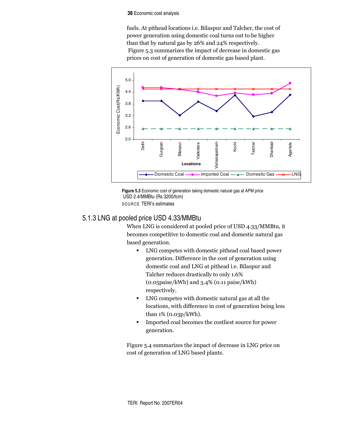#### **38** Economic cost analysis

fuels. At pithead locations i.e. Bilaspur and Talcher, the cost of power generation using domestic coal turns out to be higher than that by natural gas by 26% and 24% respectively. Figure 5.3 summarizes the impact of decrease in domestic gas prices on cost of generation of domestic gas based plant.





# 5.1.3 LNG at pooled price USD 4.33/MMBtu

When LNG is considered at pooled price of USD 4.33/MMBtu, it becomes competitive to domestic coal and domestic natural gas based generation.

- LNG competes with domestic pithead coal based power generation. Difference in the cost of generation using domestic coal and LNG at pithead i.e. Bilaspur and Talcher reduces drastically to only 1.6%  $(0.05 \text{pairs}/kWh)$  and  $3.4\%$   $(0.11 \text{pairs}/kWh)$ respectively.
- LNG competes with domestic natural gas at all the locations, with difference in cost of generation being less than  $1\%$  (0.03p/kWh).
- Imported coal becomes the costliest source for power generation.

Figure 5.4 summarizes the impact of decrease in LNG price on cost of generation of LNG based plants.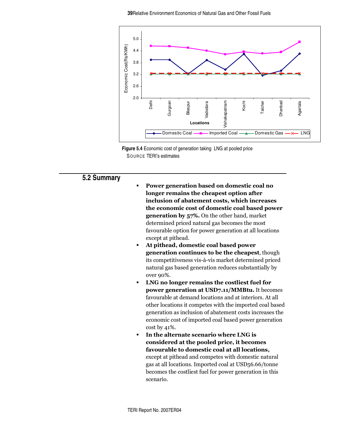

**Figure 5.4** Economic cost of generation taking LNG at pooled price SOURCE TERI's estimates

# **5.2 Summary**

- Power generation based on domestic coal no longer remains the cheapest option after inclusion of abatement costs, which increases the economic cost of domestic coal based power  ${\bf generation}$  by  ${\bf 57\%}.$  On the other hand, market determined priced natural gas becomes the most favourable option for power generation at all locations except at pithead.
- <sup>•</sup> At pithead, domestic coal based power generation continues to be the cheapest, though its competitiveness vis-à-vis market determined priced natural gas based generation reduces substantially by over 90%.
- LNG no longer remains the costliest fuel for power generation at USD7.11/MMBtu. It becomes favourable at demand locations and at interiors. At all other locations it competes with the imported coal based generation as inclusion of abatement costs increases the economic cost of imported coal based power generation cost by  $41\%$ .
- In the alternate scenario where LNG is considered at the pooled price, it becomes favourable to domestic coal at all locations, except at pithead and competes with domestic natural gas at all locations. Imported coal at USD56.66/tonne becomes the costliest fuel for power generation in this scenario.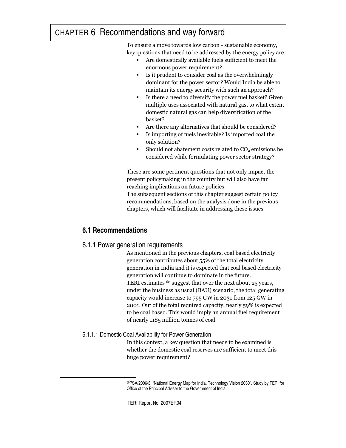# CHAPTER 6 Recommendations and way forward

To ensure a move towards low carbon - sustainable economy, key questions that need to be addressed by the energy policy are:

- Are domestically available fuels sufficient to meet the enormous power requirement?
- Is it prudent to consider coal as the overwhelmingly dominant for the power sector? Would India be able to maintain its energy security with such an approach?
- Is there a need to diversify the power fuel basket? Given multiple uses associated with natural gas, to what extent domestic natural gas can help diversification of the basket?
- Are there any alternatives that should be considered?
- Is importing of fuels inevitable? Is imported coal the only solution?
- Should not abatement costs related to  $CO<sub>2</sub>$  emissions be considered while formulating power sector strategy?

These are some pertinent questions that not only impact the present policymaking in the country but will also have far reaching implications on future policies.

The subsequent sections of this chapter suggest certain policy recommendations, based on the analysis done in the previous chapters, which will facilitate in addressing these issues.

# **6.1 Recommendations**

# 6.1.1 Power generation requirements

As mentioned in the previous chapters, coal based electricity generation contributes about 55% of the total electricity generation in India and it is expected that coal based electricity generation will continue to dominate in the future. TERI estimates  $^{60}$  suggest that over the next about 25 years, under the business as usual (BAU) scenario, the total generating capacity would increase to 795 GW in 2031 from 125 GW in 2001. Out of the total required capacity, nearly 59% is expected to be coal based. This would imply an annual fuel requirement of nearly 1185 million tonnes of coal.

# 6.1.1.1 Domestic Coal Availability for Power Generation

In this context, a key question that needs to be examined is whether the domestic coal reserves are sufficient to meet this huge power requirement?

<sup>60</sup>PSA/2006/3, "National Energy Map for India, Technology Vision 2030", Study by TERI for Office of the Principal Adviser to the Government of India.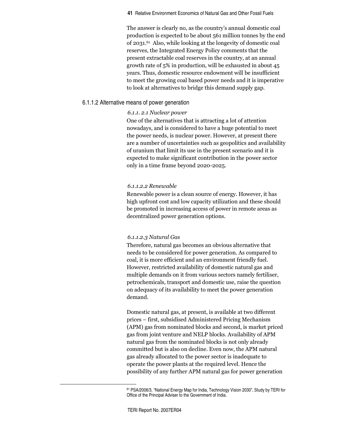The answer is clearly no, as the country's annual domestic coal production is expected to be about 561 million tonnes by the end of 2031.<sup>61</sup> Also, while looking at the longevity of domestic coal reserves, the Integrated Energy Policy comments that the present extractable coal reserves in the country, at an annual growth rate of  $5\%$  in production, will be exhausted in about 45 years. Thus, domestic resource endowment will be insufficient to meet the growing coal based power needs and it is imperative to look at alternatives to bridge this demand supply gap.

### 6.1.1.2 Alternative means of power generation

#### 6.1.1. 2.1 Nuclear power

One of the alternatives that is attracting a lot of attention nowadays, and is considered to have a huge potential to meet the power needs, is nuclear power. However, at present there are a number of uncertainties such as geopolitics and availability of uranium that limit its use in the present scenario and it is expected to make significant contribution in the power sector only in a time frame beyond 2020-2025.

### 6.1.1.2.2 Renewable

Renewable power is a clean source of energy. However, it has high upfront cost and low capacity utilization and these should be promoted in increasing access of power in remote areas as decentralized power generation options.

#### 6.1.1.2.3 Natural Gas

Therefore, natural gas becomes an obvious alternative that needs to be considered for power generation. As compared to coal, it is more efficient and an environment friendly fuel. However, restricted availability of domestic natural gas and multiple demands on it from various sectors namely fertiliser, petrochemicals, transport and domestic use, raise the question on adequacy of its availability to meet the power generation demand.

Domestic natural gas, at present, is available at two different prices – first, subsidised Administered Pricing Mechanism (APM) gas from nominated blocks and second, is market priced gas from joint venture and NELP blocks. Availability of APM natural gas from the nominated blocks is not only already committed but is also on decline. Even now, the APM natural gas already allocated to the power sector is inadequate to operate the power plants at the required level. Hence the possibility of any further APM natural gas for power generation

<sup>61</sup> PSA/2006/3, "National Energy Map for India, Technology Vision 2030", Study by TERI for Office of the Principal Adviser to the Government of India.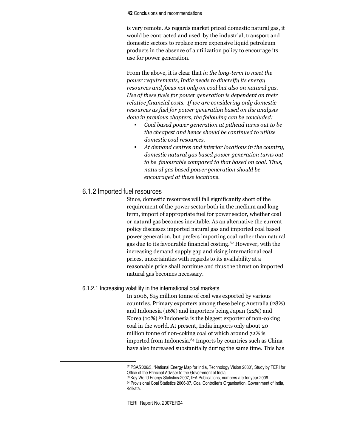#### **42** Conclusions and recommendations

is very remote. As regards market priced domestic natural gas, it would be contracted and used by the industrial, transport and domestic sectors to replace more expensive liquid petroleum products in the absence of a utilization policy to encourage its use for power generation.

From the above, it is clear that *in the long-term to meet the* power requirements, India needs to diversify its energy resources and focus not only on coal but also on natural gas. Use of these fuels for power generation is dependent on their relative financial costs. If we are considering only domestic resources as fuel for power generation based on the analysis done in previous chapters, the following can be concluded:

- Coal based power generation at pithead turns out to be the cheapest and hence should be continued to utilize domestic coal resources.
- At demand centres and interior locations in the country, domestic natural gas based power generation turns out to be favourable compared to that based on coal. Thus, natural gas based power generation should be encouraged at these locations.

### 6.1.2 Imported fuel resources

Since, domestic resources will fall significantly short of the requirement of the power sector both in the medium and long term, import of appropriate fuel for power sector, whether coal or natural gas becomes inevitable. As an alternative the current policy discusses imported natural gas and imported coal based power generation, but prefers importing coal rather than natural gas due to its favourable financial costing.<sup>62</sup> However, with the increasing demand supply gap and rising international coal prices, uncertainties with regards to its availability at a reasonable price shall continue and thus the thrust on imported natural gas becomes necessary.

### 6.1.2.1 Increasing volatility in the international coal markets

In 2006, 815 million tonne of coal was exported by various countries. Primary exporters among these being Australia (28%) and Indonesia (16%) and importers being Japan (22%) and Korea (10%).<sup>63</sup> Indonesia is the biggest exporter of non-coking coal in the world. At present, India imports only about 20 million tonne of non-coking coal of which around 72% is imported from Indonesia.<sup>64</sup> Imports by countries such as China have also increased substantially during the same time. This has

<sup>62</sup> PSA/2006/3, "National Energy Map for India, Technology Vision 2030", Study by TERI for Office of the Principal Adviser to the Government of India.

<sup>63</sup> Key World Energy Statistics-2007, IEA Publications, numbers are for year 2006

<sup>64</sup> Provisional Coal Statistics 2006-07, Coal Controller's Organisation, Government of India, Kolkata.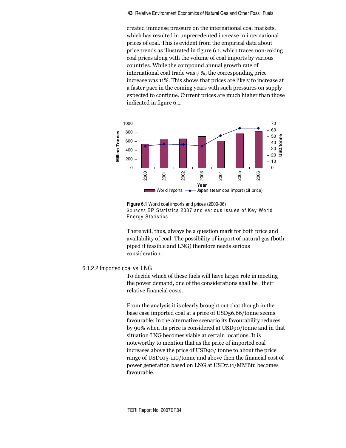created immense pressure on the international coal markets, which has resulted in unprecedented increase in international prices of coal. This is evident from the empirical data about price trends as illustrated in figure 6.1, which traces non-coking coal prices along with the volume of coal imports by various countries. While the compound annual growth rate of international coal trade was 7 %, the corresponding price increase was 11%. This shows that prices are likely to increase at a faster pace in the coming years with such pressures on supply expected to continue. Current prices are much higher than those indicated in figure 6.1.



**Figure 6.1** World coal imports and prices (2000-06) SOURCES BP Statistics 2007 and various issues of Key World Energy Statistics

There will, thus, always be a question mark for both price and availability of coal. The possibility of import of natural gas (both piped if feasible and LNG) therefore needs serious consideration.

### 6.1.2.2 Imported coal vs. LNG

To decide which of these fuels will have larger role in meeting the power demand, one of the considerations shall be their relative financial costs.

From the analysis it is clearly brought out that though in the base case imported coal at a price of USD56.66/tonne seems favourable; in the alternative scenario its favourability reduces by 90% when its price is considered at USD90/tonne and in that situation LNG becomes viable at certain locations. It is noteworthy to mention that as the price of imported coal increases above the price of USD90/ tonne to about the price range of USD105-110/tonne and above then the financial cost of power generation based on LNG at USD7.11/MMBtu becomes favourable.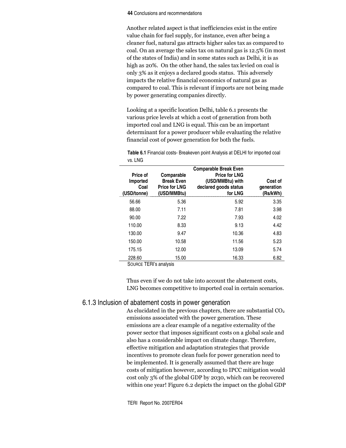#### **44** Conclusions and recommendations

Another related aspect is that inefficiencies exist in the entire value chain for fuel supply, for instance, even after being a cleaner fuel, natural gas attracts higher sales tax as compared to coal. On an average the sales tax on natural gas is 12.5% (in most of the states of India) and in some states such as Delhi, it is as high as 20%. On the other hand, the sales tax levied on coal is only 3% as it enjoys a declared goods status. This adversely impacts the relative financial economics of natural gas as compared to coal. This is relevant if imports are not being made by power generating companies directly.

Looking at a specific location Delhi, table 6.1 presents the various price levels at which a cost of generation from both imported coal and LNG is equal. This can be an important determinant for a power producer while evaluating the relative financial cost of power generation for both the fuels.

| Price of<br>Imported<br>Coal<br>(USD/tonne) | Comparable<br><b>Break Even</b><br><b>Price for LNG</b><br>(USD/MMBtu) | <b>Comparable Break Even</b><br><b>Price for LNG</b><br>(USD/MMBtu) with<br>declared goods status<br>for LNG | Cost of<br>generation<br>(Rs/kWh) |
|---------------------------------------------|------------------------------------------------------------------------|--------------------------------------------------------------------------------------------------------------|-----------------------------------|
| 56.66                                       | 5.36                                                                   | 5.92                                                                                                         | 3.35                              |
| 88.00                                       | 7.11                                                                   | 7.81                                                                                                         | 3.98                              |
| 90.00                                       | 7.22                                                                   | 7.93                                                                                                         | 4.02                              |
| 110.00                                      | 8.33                                                                   | 9.13                                                                                                         | 4.42                              |
| 130.00                                      | 9.47                                                                   | 10.36                                                                                                        | 4.83                              |
| 150.00                                      | 10.58                                                                  | 11.56                                                                                                        | 5.23                              |
| 175.15                                      | 12.00                                                                  | 13.09                                                                                                        | 5.74                              |
| 228.60                                      | 15.00                                                                  | 16.33                                                                                                        | 6.82                              |

**Table 6.1** Financial costs- Breakeven point Analysis at DELHI for imported coal vs. LNG

SOURCE TERI's analysis

Thus even if we do not take into account the abatement costs, LNG becomes competitive to imported coal in certain scenarios.

### 6.1.3 Inclusion of abatement costs in power generation

As elucidated in the previous chapters, there are substantial  $CO<sub>2</sub>$ emissions associated with the power generation. These emissions are a clear example of a negative externality of the power sector that imposes significant costs on a global scale and also has a considerable impact on climate change. Therefore, effective mitigation and adaptation strategies that provide incentives to promote clean fuels for power generation need to be implemented. It is generally assumed that there are huge costs of mitigation however, according to IPCC mitigation would cost only 3% of the global GDP by 2030, which can be recovered within one year! Figure 6.2 depicts the impact on the global GDP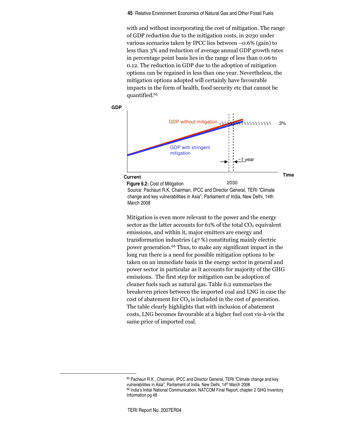with and without incorporating the cost of mitigation. The range of GDP reduction due to the mitigation costs, in 2030 under various scenarios taken by IPCC lies between  $-0.6\%$  (gain) to less than 3% and reduction of average annual GDP growth rates in percentage point basis lies in the range of less than 0.06 to o.12. The reduction in GDP due to the adoption of mitigation options can be regained in less than one year. Nevertheless, the mitigation options adopted will certainly have favourable impacts in the form of health, food security etc that cannot be quantified.<sup>65</sup>



Source: Pachauri R.K, Chairman, IPCC and Director General, TERI "Climate change and key vulnerabilities in Asia", Parliament of India, New Delhi, 14th March 2008

Mitigation is even more relevant to the power and the energy sector as the latter accounts for  $61\%$  of the total  $CO<sub>2</sub>$  equivalent emissions, and within it, major emitters are energy and transformation industries (47 %) constituting mainly electric power generation.66 Thus, to make any significant impact in the long run there is a need for possible mitigation options to be taken on an immediate basis in the energy sector in general and power sector in particular as it accounts for majority of the GHG emissions. The first step for mitigation can be adoption of cleaner fuels such as natural gas. Table 6.2 summarizes the breakeven prices between the imported coal and LNG in case the cost of abatement for  $CO<sub>2</sub>$  is included in the cost of generation. The table clearly highlights that with inclusion of abatement costs, LNG becomes favourable at a higher fuel cost vis-à-vis the same price of imported coal.

<sup>&</sup>lt;sup>65</sup> Pachauri R.K, Chairman, IPCC and Director General, TERI "Climate change and key vulnerabilities in Asia", Parliament of India, New Delhi, 14 th March 2008 <sup>66</sup> India's Initial National Communication, NATCOM Final Report, chapter 2 GHG Inventory Information pg 48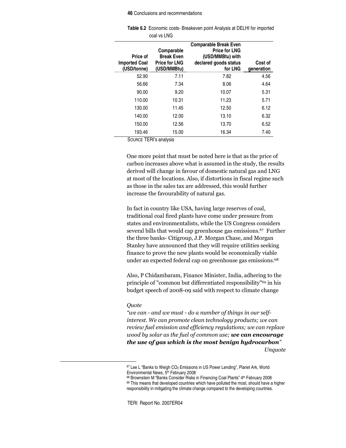#### **46** Conclusions and recommendations

|                                                 | coal VS LING                                                           |                                                                                                              |                       |
|-------------------------------------------------|------------------------------------------------------------------------|--------------------------------------------------------------------------------------------------------------|-----------------------|
| Price of<br><b>Imported Coal</b><br>(USD/tonne) | Comparable<br><b>Break Even</b><br><b>Price for LNG</b><br>(USD/MMBtu) | <b>Comparable Break Even</b><br><b>Price for LNG</b><br>(USD/MMBtu) with<br>declared goods status<br>for LNG | Cost of<br>qeneration |
| 52.90                                           | 7.11                                                                   | 7.82                                                                                                         | 4.56                  |
| 56.66                                           | 7.34                                                                   | 8.06                                                                                                         | 4.64                  |
| 90.00                                           | 9.20                                                                   | 10.07                                                                                                        | 5.31                  |
| 110.00                                          | 10.31                                                                  | 11.23                                                                                                        | 5.71                  |
| 130.00                                          | 11.45                                                                  | 12.50                                                                                                        | 6.12                  |
| 140.00                                          | 12.00                                                                  | 13.10                                                                                                        | 6.32                  |
| 150.00                                          | 12.56                                                                  | 13.70                                                                                                        | 6.52                  |
| 193.46<br>$\sim$<br>----                        | 15.00                                                                  | 16.34                                                                                                        | 7.40                  |

**Table 6.2** Economic costs- Breakeven point Analysis at DELHI for imported coal vs LNG

SOURCE TERI's analysis

One more point that must be noted here is that as the price of carbon increases above what is assumed in the study, the results derived will change in favour of domestic natural gas and LNG at most of the locations. Also, if distortions in fiscal regime such as those in the sales tax are addressed, this would further increase the favourability of natural gas.

In fact in country like USA, having large reserves of coal, traditional coal fired plants have come under pressure from states and environmentalists, while the US Congress considers several bills that would cap greenhouse gas emissions.<sup>67</sup> Further the three banks- Citigroup, J.P. Morgan Chase, and Morgan Stanley have announced that they will require utilities seeking finance to prove the new plants would be economically viable under an expected federal cap on greenhouse gas emissions.<sup>68</sup>

Also, P Chidambaram, Finance Minister, India, adhering to the principle of "common but differentiated responsibility"<sup>69</sup> in his budget speech of 2008-09 said with respect to climate change

#### Quote

"we can - and we must - do a number of things in our self-  $\,$ interest. We can promote clean technology products; we can  $\,$ review fuel emission and efficiency regulations; we can replace wood by solar as the fuel of common use; **we can encourage** the use of gas which is the most benign hydrocarbon"  $\,$ Unquote

<sup>&</sup>lt;sup>67</sup> Lee L "Banks to Weigh CO<sub>2</sub> Emissions in US Power Lending", Planet Ark, World Environmental News, 5<sup>th</sup> February 2008

<sup>&</sup>lt;sup>68</sup> Brownstein M "Banks Consider Risks in Financing Coal Plants" 4th February 2008

<sup>&</sup>lt;sup>69</sup> This means that developed countries which have polluted the most, should have a higher responsibility in mitigating the climate change compared to the developing countries.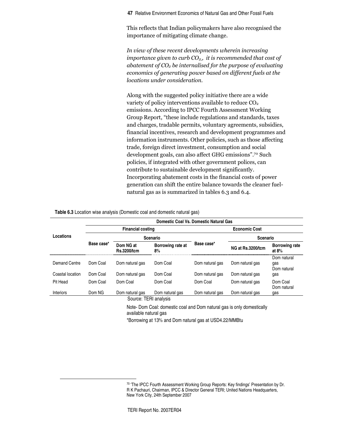This reflects that Indian policymakers have also recognised the importance of mitigating climate change.

In view of these recent developments wherein increasing importance given to curb CO $_{2,}$ , it is recommended that cost of abatement of CO $_{\scriptscriptstyle 2}$  be internalised for the purpose of evaluating economics of generating power based on different fuels at the locations under consideration.

Along with the suggested policy initiative there are a wide variety of policy interventions available to reduce CO<sub>2</sub> emissions. According to IPCC Fourth Assessment Working Group Report, "these include regulations and standards, taxes and charges, tradable permits, voluntary agreements, subsidies, financial incentives, research and development programmes and information instruments. Other policies, such as those affecting trade, foreign direct investment, consumption and social development goals, can also affect GHG emissions".70 Such policies, if integrated with other government polices, can contribute to sustainable development significantly. Incorporating abatement costs in the financial costs of power generation can shift the entire balance towards the cleaner fuelnatural gas as is summarized in tables 6.3 and 6.4.

|                  | Domestic Coal Vs. Domestic Natural Gas |                                 |                                                        |                      |                                                                        |                                   |  |
|------------------|----------------------------------------|---------------------------------|--------------------------------------------------------|----------------------|------------------------------------------------------------------------|-----------------------------------|--|
|                  |                                        | <b>Financial costing</b>        |                                                        | <b>Economic Cost</b> |                                                                        |                                   |  |
| Locations        |                                        | <b>Scenario</b>                 |                                                        |                      | <b>Scenario</b>                                                        |                                   |  |
|                  | Base case*                             | Dom NG at<br><b>Rs.3200/tcm</b> | Borrowing rate at<br>8%                                | Base case*           | NG at Rs.3200/tcm                                                      | <b>Borrowing rate</b><br>at $8\%$ |  |
| Demand Centre    | Dom Coal                               | Dom natural gas                 | Dom Coal                                               | Dom natural gas      | Dom natural gas                                                        | Dom natural<br>gas<br>Dom natural |  |
| Coastal location | Dom Coal                               | Dom natural gas                 | Dom Coal                                               | Dom natural gas      | Dom natural gas                                                        | gas                               |  |
| Pit Head         | Dom Coal                               | Dom Coal                        | Dom Coal                                               | Dom Coal             | Dom natural gas                                                        | Dom Coal<br>Dom natural           |  |
| <b>Interiors</b> | Dom NG                                 | Dom natural gas                 | Dom natural gas                                        | Dom natural gas      | Dom natural gas                                                        | gas                               |  |
|                  |                                        | Source: TERI analysis           |                                                        |                      |                                                                        |                                   |  |
|                  |                                        | available natural gas           | *Borrowing at 13% and Dom natural gas at USD4.22/MMBtu |                      | Note- Dom Coal: domestic coal and Dom natural gas is only domestically |                                   |  |

**Table 6.3** Location wise analysis (Domestic coal and domestic natural gas)

<sup>70</sup> 'The IPCC Fourth Assessment Working Group Reports: Key findings' Presentation by Dr. R K Pachauri, Chairman, IPCC & Director General TERI; United Nations Headquarters, New York City, 24th September 2007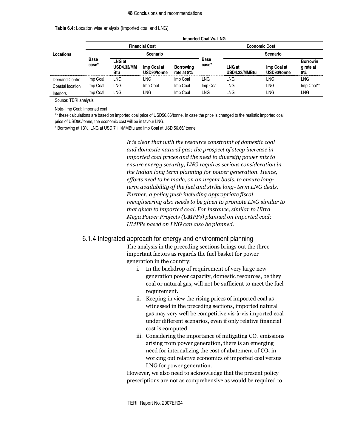| Locations            |                       | <b>Imported Coal Vs. LNG</b>       |                            |                                |                      |                         |                            |                                    |
|----------------------|-----------------------|------------------------------------|----------------------------|--------------------------------|----------------------|-------------------------|----------------------------|------------------------------------|
|                      | <b>Financial Cost</b> |                                    |                            |                                | <b>Economic Cost</b> |                         |                            |                                    |
|                      |                       | Scenario                           |                            |                                |                      | Scenario                |                            |                                    |
|                      | <b>Base</b><br>case*  | LNG at<br><b>USD4.33/MM</b><br>Btu | Imp Coal at<br>USD90/tonne | <b>Borrowing</b><br>rate at 8% | <b>Base</b><br>case* | LNG at<br>USD4.33/MMBtu | Imp Coal at<br>USD90/tonne | <b>Borrowin</b><br>q rate at<br>8% |
| <b>Demand Centre</b> | Imp Coal              | <b>LNG</b>                         | LNG                        | Imp Coal                       | LNG                  | LNG                     | LNG                        | <b>LNG</b>                         |
| Coastal location     | Imp Coal              | <b>LNG</b>                         | Imp Coal                   | Imp Coal                       | Imp Coal             | LNG                     | <b>LNG</b>                 | Imp Coal**                         |
| Interiors            | Imp Coal              | LNG                                | LNG                        | Imp Coal                       | LNG                  | LNG                     | LNG                        | LNG                                |

**Table 6.4:** Location wise analysis (Imported coal and LNG)

Source: TERI analysis

Note- Imp Coal: Imported coal

\*\* these calculations are based on imported coal price of USD56.66/tonne. In case the price is changed to the realistic imported coal price of USD90/tonne, the economic cost will be in favour LNG.

\* Borrowing at 13%, LNG at USD 7.11/MMBtu and Imp Coal at USD 56.66/ tonne

It is clear that with the resource constraint of domestic coal and domestic natural gas; the prospect of steep increase in imported coal prices and the need to diversify power mix to ensure energy security, LNG requires serious consideration in the Indian long term planning for power generation. Hence, efforts need to be made, on an urgent basis, to ensure longterm availability of the fuel and strike long- term LNG deals. Further, a policy push including appropriate fiscal reengineering also needs to be given to promote LNG similar to that given to imported coal. For instance, similar to Ultra Mega Power Projects (UMPPs) planned on imported coal; UMPPs based on LNG can also be planned.

### 6.1.4 Integrated approach for energy and environment planning

The analysis in the preceding sections brings out the three important factors as regards the fuel basket for power generation in the country:

- i. In the backdrop of requirement of very large new generation power capacity, domestic resources, be they coal or natural gas, will not be sufficient to meet the fuel requirement.
- ii. Keeping in view the rising prices of imported coal as witnessed in the preceding sections, imported natural gas may very well be competitive vis-à-vis imported coal under different scenarios, even if only relative financial cost is computed.
- iii. Considering the importance of mitigating  $CO<sub>2</sub>$  emissions arising from power generation, there is an emerging need for internalizing the cost of abatement of  $CO<sub>2</sub>$  in working out relative economics of imported coal versus LNG for power generation.

However, we also need to acknowledge that the present policy prescriptions are not as comprehensive as would be required to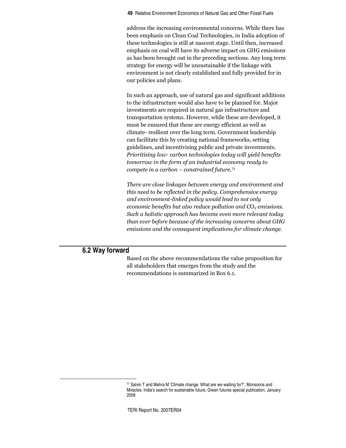address the increasing environmental concerns. While there has been emphasis on Clean Coal Technologies, in India adoption of these technologies is still at nascent stage. Until then, increased emphasis on coal will have its adverse impact on GHG emissions as has been brought out in the preceding sections. Any long term strategy for energy will be unsustainable if the linkage with environment is not clearly established and fully provided for in our policies and plans.

In such an approach, use of natural gas and significant additions to the infrastructure would also have to be planned for. Major investments are required in natural gas infrastructure and transportation systems. However, while these are developed, it must be ensured that these are energy efficient as well as climate- resilient over the long term. Government leadership can facilitate this by creating national frameworks, setting guidelines, and incentivising public and private investments. Prioritising low- carbon technologies today will yield benefits tomorrow in the form of an industrial economy ready to  $\emph{complete}$  in a  $\emph{carbon}-\emph{constrained future}.$ <sup>71</sup>

There are close linkages between energy and environment and this need to be reflected in the policy. Comprehensive energy and environment-linked policy would lead to not only economic benefits but also reduce pollution and CO $_2$  emissions. Such a holistic approach has become even more relevant today than ever before because of the increasing concerns about GHG emissions and the consequent implications for climate change.

# **6.2 Way forward**

Based on the above recommendations the value proposition for all stakeholders that emerges from the study and the recommendations is summarized in Box 6.1.

<sup>71</sup> Salvin T and Mehra M 'Climate change: What are we waiting for?', Monsoons and Miracles: India's search for sustainable future, Green futures special publication, January 2008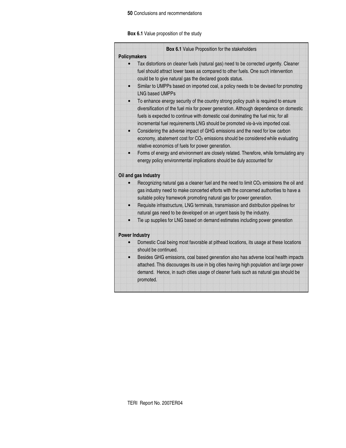### **50** Conclusions and recommendations

**Box 6.1** Value proposition of the study

|                     | Box 6.1 Value Proposition for the stakeholders                                                                                                                                                                                                                                                                                                    |
|---------------------|---------------------------------------------------------------------------------------------------------------------------------------------------------------------------------------------------------------------------------------------------------------------------------------------------------------------------------------------------|
| <b>Policymakers</b> |                                                                                                                                                                                                                                                                                                                                                   |
|                     | Tax distortions on cleaner fuels (natural gas) need to be corrected urgently. Cleaner<br>fuel should attract lower taxes as compared to other fuels. One such intervention<br>could be to give natural gas the declared goods status.                                                                                                             |
|                     | Similar to UMPPs based on imported coal, a policy needs to be devised for promoting<br><b>LNG based UMPPs</b>                                                                                                                                                                                                                                     |
| $\bullet$           | To enhance energy security of the country strong policy push is required to ensure<br>diversification of the fuel mix for power generation. Although dependence on domestic<br>fuels is expected to continue with domestic coal dominating the fuel mix; for all<br>incremental fuel requirements LNG should be promoted vis-à-vis imported coal. |
| $\bullet$           | Considering the adverse impact of GHG emissions and the need for low carbon<br>economy, abatement cost for CO <sub>2</sub> emissions should be considered while evaluating<br>relative economics of fuels for power generation.                                                                                                                   |
|                     | Forms of energy and environment are closely related. Therefore, while formulating any<br>energy policy environmental implications should be duly accounted for                                                                                                                                                                                    |
|                     | Oil and gas Industry                                                                                                                                                                                                                                                                                                                              |
|                     | Recognizing natural gas a cleaner fuel and the need to limit CO <sub>2</sub> emissions the oil and<br>gas industry need to make concerted efforts with the concerned authorities to have a<br>suitable policy framework promoting natural gas for power generation.                                                                               |
|                     | Requisite infrastructure, LNG terminals, transmission and distribution pipelines for<br>natural gas need to be developed on an urgent basis by the industry.                                                                                                                                                                                      |
|                     | Tie up supplies for LNG based on demand estimates including power generation                                                                                                                                                                                                                                                                      |
|                     | <b>Power Industry</b>                                                                                                                                                                                                                                                                                                                             |
|                     | Domestic Coal being most favorable at pithead locations, its usage at these locations<br>should be continued.                                                                                                                                                                                                                                     |
| $\bullet$           | Besides GHG emissions, coal based generation also has adverse local health impacts<br>attached. This discourages its use in big cities having high population and large power<br>demand. Hence, in such cities usage of cleaner fuels such as natural gas should be<br>promoted.                                                                  |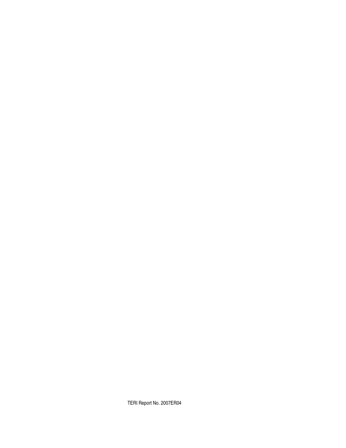TERI Report No. 2007ER04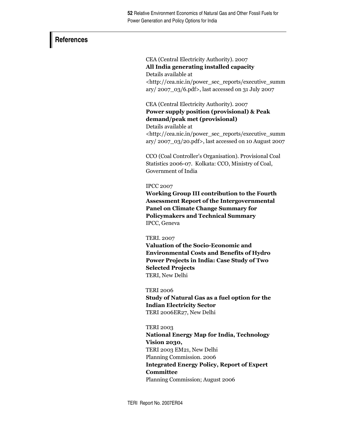## **References**

CEA (Central Electricity Authority). 2007 All India generating installed capacity Details available at <http://cea.nic.in/power sec reports/executive summ ary/2007\_03/6.pdf>, last accessed on 31 July 2007

CEA (Central Electricity Authority). 2007 Power supply position (provisional) & Peak demand/peak met (provisional) Details available at

<http://cea.nic.in/power\_sec\_reports/executive\_summ  $\frac{\text{ary}}{2007}$ \_03/20.pdf>, last accessed on 10 August 2007

CCO (Coal Controller's Organisation). Provisional Coal Statistics 2006-07. Kolkata: CCO, Ministry of Coal, Government of India

## **IPCC 2007**

Working Group III contribution to the Fourth **Assessment Report of the Intergovernmental Panel on Climate Change Summary for Policymakers and Technical Summary** IPCC, Geneva

## **TERI. 2007**

Valuation of the Socio-Economic and **Environmental Costs and Benefits of Hydro** Power Projects in India: Case Study of Two **Selected Projects** TERI, New Delhi

**TERI 2006** 

Study of Natural Gas as a fuel option for the **Indian Electricity Sector** TERI 2006ER27, New Delhi

## **TERI 2003**

**National Energy Map for India, Technology** Vision 2030, TERI 2003 EM21, New Delhi Planning Commission. 2006 **Integrated Energy Policy, Report of Expert** Committee Planning Commission; August 2006